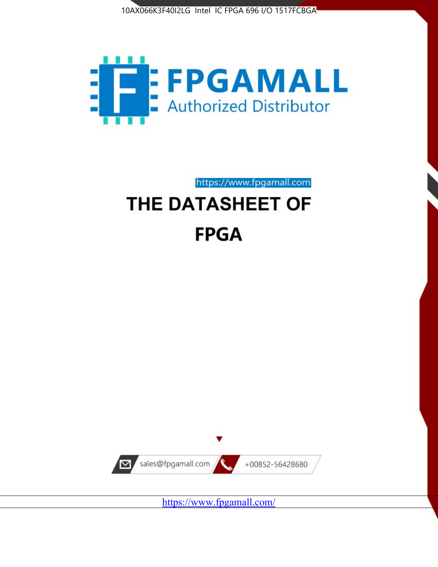



https://www.fpgamall.com

# THE DATASHEET OF **FPGA**



<https://www.fpgamall.com/>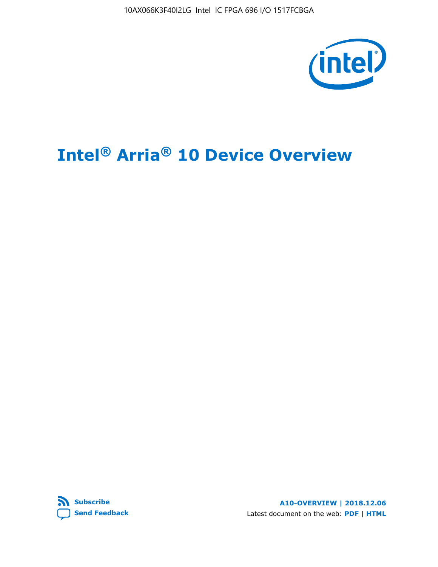10AX066K3F40I2LG Intel IC FPGA 696 I/O 1517FCBGA



# **Intel® Arria® 10 Device Overview**



**A10-OVERVIEW | 2018.12.06** Latest document on the web: **[PDF](https://www.intel.com/content/dam/www/programmable/us/en/pdfs/literature/hb/arria-10/a10_overview.pdf)** | **[HTML](https://www.intel.com/content/www/us/en/programmable/documentation/sam1403480274650.html)**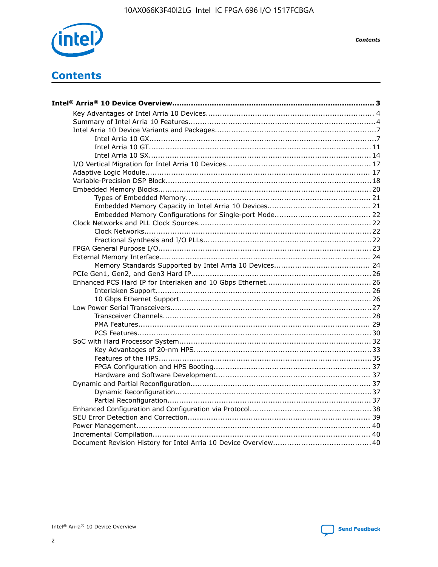

**Contents** 

# **Contents**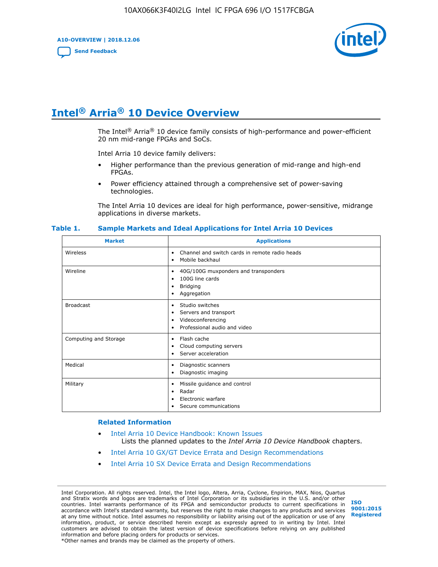**A10-OVERVIEW | 2018.12.06**

**[Send Feedback](mailto:FPGAtechdocfeedback@intel.com?subject=Feedback%20on%20Intel%20Arria%2010%20Device%20Overview%20(A10-OVERVIEW%202018.12.06)&body=We%20appreciate%20your%20feedback.%20In%20your%20comments,%20also%20specify%20the%20page%20number%20or%20paragraph.%20Thank%20you.)**



# **Intel® Arria® 10 Device Overview**

The Intel<sup>®</sup> Arria<sup>®</sup> 10 device family consists of high-performance and power-efficient 20 nm mid-range FPGAs and SoCs.

Intel Arria 10 device family delivers:

- Higher performance than the previous generation of mid-range and high-end FPGAs.
- Power efficiency attained through a comprehensive set of power-saving technologies.

The Intel Arria 10 devices are ideal for high performance, power-sensitive, midrange applications in diverse markets.

| <b>Market</b>         | <b>Applications</b>                                                                                                       |
|-----------------------|---------------------------------------------------------------------------------------------------------------------------|
| Wireless              | Channel and switch cards in remote radio heads<br>$\bullet$<br>Mobile backhaul<br>٠                                       |
| Wireline              | 40G/100G muxponders and transponders<br>٠<br>100G line cards<br>٠<br><b>Bridging</b><br>٠<br>Aggregation<br>٠             |
| <b>Broadcast</b>      | Studio switches<br>$\bullet$<br>Servers and transport<br>٠<br>Videoconferencing<br>٠<br>Professional audio and video<br>٠ |
| Computing and Storage | Flash cache<br>$\bullet$<br>Cloud computing servers<br>٠<br>Server acceleration<br>٠                                      |
| Medical               | Diagnostic scanners<br>٠<br>Diagnostic imaging<br>٠                                                                       |
| Military              | Missile guidance and control<br>٠<br>Radar<br>٠<br>Electronic warfare<br>٠<br>Secure communications                       |

#### **Table 1. Sample Markets and Ideal Applications for Intel Arria 10 Devices**

#### **Related Information**

- [Intel Arria 10 Device Handbook: Known Issues](http://www.altera.com/support/kdb/solutions/rd07302013_646.html) Lists the planned updates to the *Intel Arria 10 Device Handbook* chapters.
- [Intel Arria 10 GX/GT Device Errata and Design Recommendations](https://www.intel.com/content/www/us/en/programmable/documentation/agz1493851706374.html#yqz1494433888646)
- [Intel Arria 10 SX Device Errata and Design Recommendations](https://www.intel.com/content/www/us/en/programmable/documentation/cru1462832385668.html#cru1462832558642)

Intel Corporation. All rights reserved. Intel, the Intel logo, Altera, Arria, Cyclone, Enpirion, MAX, Nios, Quartus and Stratix words and logos are trademarks of Intel Corporation or its subsidiaries in the U.S. and/or other countries. Intel warrants performance of its FPGA and semiconductor products to current specifications in accordance with Intel's standard warranty, but reserves the right to make changes to any products and services at any time without notice. Intel assumes no responsibility or liability arising out of the application or use of any information, product, or service described herein except as expressly agreed to in writing by Intel. Intel customers are advised to obtain the latest version of device specifications before relying on any published information and before placing orders for products or services. \*Other names and brands may be claimed as the property of others.

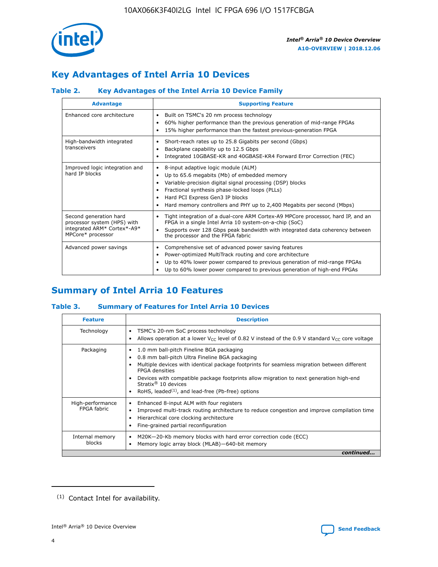

# **Key Advantages of Intel Arria 10 Devices**

# **Table 2. Key Advantages of the Intel Arria 10 Device Family**

| <b>Advantage</b>                                                                                          | <b>Supporting Feature</b>                                                                                                                                                                                                                                                                                                |  |  |  |  |  |  |
|-----------------------------------------------------------------------------------------------------------|--------------------------------------------------------------------------------------------------------------------------------------------------------------------------------------------------------------------------------------------------------------------------------------------------------------------------|--|--|--|--|--|--|
| Enhanced core architecture                                                                                | Built on TSMC's 20 nm process technology<br>٠<br>60% higher performance than the previous generation of mid-range FPGAs<br>٠<br>15% higher performance than the fastest previous-generation FPGA<br>٠                                                                                                                    |  |  |  |  |  |  |
| High-bandwidth integrated<br>transceivers                                                                 | Short-reach rates up to 25.8 Gigabits per second (Gbps)<br>٠<br>Backplane capability up to 12.5 Gbps<br>٠<br>Integrated 10GBASE-KR and 40GBASE-KR4 Forward Error Correction (FEC)<br>٠                                                                                                                                   |  |  |  |  |  |  |
| Improved logic integration and<br>hard IP blocks                                                          | 8-input adaptive logic module (ALM)<br>٠<br>Up to 65.6 megabits (Mb) of embedded memory<br>٠<br>Variable-precision digital signal processing (DSP) blocks<br>Fractional synthesis phase-locked loops (PLLs)<br>Hard PCI Express Gen3 IP blocks<br>Hard memory controllers and PHY up to 2,400 Megabits per second (Mbps) |  |  |  |  |  |  |
| Second generation hard<br>processor system (HPS) with<br>integrated ARM* Cortex*-A9*<br>MPCore* processor | Tight integration of a dual-core ARM Cortex-A9 MPCore processor, hard IP, and an<br>٠<br>FPGA in a single Intel Arria 10 system-on-a-chip (SoC)<br>Supports over 128 Gbps peak bandwidth with integrated data coherency between<br>$\bullet$<br>the processor and the FPGA fabric                                        |  |  |  |  |  |  |
| Advanced power savings                                                                                    | Comprehensive set of advanced power saving features<br>٠<br>Power-optimized MultiTrack routing and core architecture<br>٠<br>Up to 40% lower power compared to previous generation of mid-range FPGAs<br>٠<br>Up to 60% lower power compared to previous generation of high-end FPGAs                                    |  |  |  |  |  |  |

# **Summary of Intel Arria 10 Features**

## **Table 3. Summary of Features for Intel Arria 10 Devices**

| <b>Feature</b>                  | <b>Description</b>                                                                                                                                                                                                                                                                                                                                                                                           |
|---------------------------------|--------------------------------------------------------------------------------------------------------------------------------------------------------------------------------------------------------------------------------------------------------------------------------------------------------------------------------------------------------------------------------------------------------------|
| Technology                      | TSMC's 20-nm SoC process technology<br>Allows operation at a lower $V_{\text{CC}}$ level of 0.82 V instead of the 0.9 V standard $V_{\text{CC}}$ core voltage                                                                                                                                                                                                                                                |
| Packaging                       | 1.0 mm ball-pitch Fineline BGA packaging<br>٠<br>0.8 mm ball-pitch Ultra Fineline BGA packaging<br>Multiple devices with identical package footprints for seamless migration between different<br><b>FPGA</b> densities<br>Devices with compatible package footprints allow migration to next generation high-end<br>Stratix <sup>®</sup> 10 devices<br>RoHS, leaded $(1)$ , and lead-free (Pb-free) options |
| High-performance<br>FPGA fabric | Enhanced 8-input ALM with four registers<br>Improved multi-track routing architecture to reduce congestion and improve compilation time<br>Hierarchical core clocking architecture<br>Fine-grained partial reconfiguration                                                                                                                                                                                   |
| Internal memory<br>blocks       | M20K-20-Kb memory blocks with hard error correction code (ECC)<br>Memory logic array block (MLAB)-640-bit memory                                                                                                                                                                                                                                                                                             |
|                                 | continued                                                                                                                                                                                                                                                                                                                                                                                                    |



<sup>(1)</sup> Contact Intel for availability.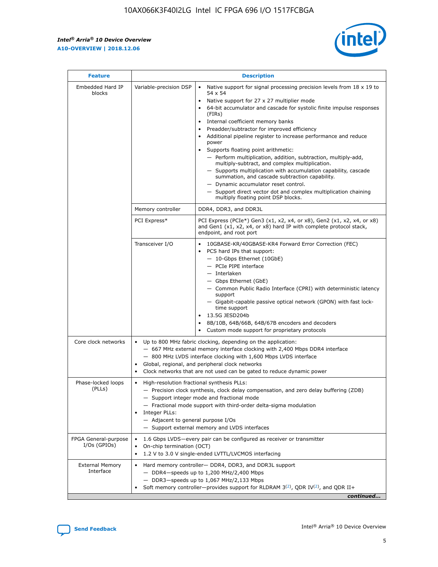r



| <b>Feature</b>                         | <b>Description</b>                                                                                             |                                                                                                                                                                                                                                                                                                                                                                                                                                                                                                                                                                                                                                                                                                                                                                                                                                        |  |  |  |  |  |
|----------------------------------------|----------------------------------------------------------------------------------------------------------------|----------------------------------------------------------------------------------------------------------------------------------------------------------------------------------------------------------------------------------------------------------------------------------------------------------------------------------------------------------------------------------------------------------------------------------------------------------------------------------------------------------------------------------------------------------------------------------------------------------------------------------------------------------------------------------------------------------------------------------------------------------------------------------------------------------------------------------------|--|--|--|--|--|
| Embedded Hard IP<br>blocks             | Variable-precision DSP                                                                                         | Native support for signal processing precision levels from $18 \times 19$ to<br>54 x 54<br>Native support for 27 x 27 multiplier mode<br>64-bit accumulator and cascade for systolic finite impulse responses<br>(FIRs)<br>Internal coefficient memory banks<br>$\bullet$<br>Preadder/subtractor for improved efficiency<br>Additional pipeline register to increase performance and reduce<br>power<br>Supports floating point arithmetic:<br>- Perform multiplication, addition, subtraction, multiply-add,<br>multiply-subtract, and complex multiplication.<br>- Supports multiplication with accumulation capability, cascade<br>summation, and cascade subtraction capability.<br>- Dynamic accumulator reset control.<br>- Support direct vector dot and complex multiplication chaining<br>multiply floating point DSP blocks. |  |  |  |  |  |
|                                        | Memory controller                                                                                              | DDR4, DDR3, and DDR3L                                                                                                                                                                                                                                                                                                                                                                                                                                                                                                                                                                                                                                                                                                                                                                                                                  |  |  |  |  |  |
|                                        | PCI Express*                                                                                                   | PCI Express (PCIe*) Gen3 (x1, x2, x4, or x8), Gen2 (x1, x2, x4, or x8)<br>and Gen1 (x1, x2, x4, or x8) hard IP with complete protocol stack,<br>endpoint, and root port                                                                                                                                                                                                                                                                                                                                                                                                                                                                                                                                                                                                                                                                |  |  |  |  |  |
|                                        | Transceiver I/O                                                                                                | 10GBASE-KR/40GBASE-KR4 Forward Error Correction (FEC)<br>PCS hard IPs that support:<br>$\bullet$<br>- 10-Gbps Ethernet (10GbE)<br>- PCIe PIPE interface<br>$-$ Interlaken<br>- Gbps Ethernet (GbE)<br>- Common Public Radio Interface (CPRI) with deterministic latency<br>support<br>- Gigabit-capable passive optical network (GPON) with fast lock-<br>time support<br>13.5G JESD204b<br>$\bullet$<br>8B/10B, 64B/66B, 64B/67B encoders and decoders<br>Custom mode support for proprietary protocols                                                                                                                                                                                                                                                                                                                               |  |  |  |  |  |
| Core clock networks                    | $\bullet$<br>$\bullet$                                                                                         | Up to 800 MHz fabric clocking, depending on the application:<br>- 667 MHz external memory interface clocking with 2,400 Mbps DDR4 interface<br>- 800 MHz LVDS interface clocking with 1,600 Mbps LVDS interface<br>Global, regional, and peripheral clock networks<br>Clock networks that are not used can be gated to reduce dynamic power                                                                                                                                                                                                                                                                                                                                                                                                                                                                                            |  |  |  |  |  |
| Phase-locked loops<br>(PLLs)           | High-resolution fractional synthesis PLLs:<br>$\bullet$<br>Integer PLLs:<br>- Adjacent to general purpose I/Os | - Precision clock synthesis, clock delay compensation, and zero delay buffering (ZDB)<br>- Support integer mode and fractional mode<br>- Fractional mode support with third-order delta-sigma modulation<br>- Support external memory and LVDS interfaces                                                                                                                                                                                                                                                                                                                                                                                                                                                                                                                                                                              |  |  |  |  |  |
| FPGA General-purpose<br>$I/Os$ (GPIOs) | On-chip termination (OCT)                                                                                      | 1.6 Gbps LVDS-every pair can be configured as receiver or transmitter<br>1.2 V to 3.0 V single-ended LVTTL/LVCMOS interfacing                                                                                                                                                                                                                                                                                                                                                                                                                                                                                                                                                                                                                                                                                                          |  |  |  |  |  |
| <b>External Memory</b><br>Interface    |                                                                                                                | Hard memory controller- DDR4, DDR3, and DDR3L support<br>$-$ DDR4 $-$ speeds up to 1,200 MHz/2,400 Mbps<br>- DDR3-speeds up to 1,067 MHz/2,133 Mbps<br>Soft memory controller—provides support for RLDRAM $3^{(2)}$ , QDR IV $^{(2)}$ , and QDR II+<br>continued                                                                                                                                                                                                                                                                                                                                                                                                                                                                                                                                                                       |  |  |  |  |  |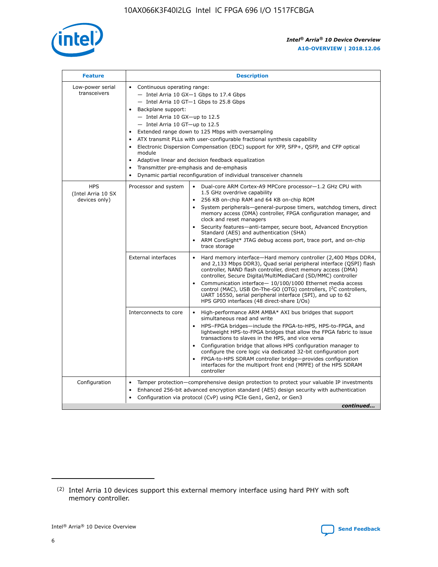

| <b>Feature</b>                                    | <b>Description</b>                                                                                                                                                                                                                                                                                                                                                                                                                                                                                                                                                                                                                                  |
|---------------------------------------------------|-----------------------------------------------------------------------------------------------------------------------------------------------------------------------------------------------------------------------------------------------------------------------------------------------------------------------------------------------------------------------------------------------------------------------------------------------------------------------------------------------------------------------------------------------------------------------------------------------------------------------------------------------------|
| Low-power serial<br>transceivers                  | • Continuous operating range:<br>- Intel Arria 10 GX-1 Gbps to 17.4 Gbps<br>- Intel Arria 10 GT-1 Gbps to 25.8 Gbps<br>Backplane support:<br>- Intel Arria 10 GX-up to 12.5<br>- Intel Arria 10 GT-up to 12.5<br>Extended range down to 125 Mbps with oversampling<br>ATX transmit PLLs with user-configurable fractional synthesis capability<br>Electronic Dispersion Compensation (EDC) support for XFP, SFP+, QSFP, and CFP optical<br>module<br>Adaptive linear and decision feedback equalization<br>$\bullet$<br>Transmitter pre-emphasis and de-emphasis<br>$\bullet$<br>Dynamic partial reconfiguration of individual transceiver channels |
| <b>HPS</b><br>(Intel Arria 10 SX<br>devices only) | Dual-core ARM Cortex-A9 MPCore processor-1.2 GHz CPU with<br>Processor and system<br>$\bullet$<br>1.5 GHz overdrive capability<br>256 KB on-chip RAM and 64 KB on-chip ROM<br>System peripherals—general-purpose timers, watchdog timers, direct<br>memory access (DMA) controller, FPGA configuration manager, and<br>clock and reset managers<br>Security features-anti-tamper, secure boot, Advanced Encryption<br>Standard (AES) and authentication (SHA)<br>ARM CoreSight* JTAG debug access port, trace port, and on-chip<br>trace storage                                                                                                    |
|                                                   | <b>External interfaces</b><br>Hard memory interface-Hard memory controller (2,400 Mbps DDR4,<br>$\bullet$<br>and 2,133 Mbps DDR3), Quad serial peripheral interface (QSPI) flash<br>controller, NAND flash controller, direct memory access (DMA)<br>controller, Secure Digital/MultiMediaCard (SD/MMC) controller<br>Communication interface-10/100/1000 Ethernet media access<br>control (MAC), USB On-The-GO (OTG) controllers, I <sup>2</sup> C controllers,<br>UART 16550, serial peripheral interface (SPI), and up to 62<br>HPS GPIO interfaces (48 direct-share I/Os)                                                                       |
|                                                   | High-performance ARM AMBA* AXI bus bridges that support<br>Interconnects to core<br>$\bullet$<br>simultaneous read and write<br>HPS-FPGA bridges-include the FPGA-to-HPS, HPS-to-FPGA, and<br>$\bullet$<br>lightweight HPS-to-FPGA bridges that allow the FPGA fabric to issue<br>transactions to slaves in the HPS, and vice versa<br>Configuration bridge that allows HPS configuration manager to<br>configure the core logic via dedicated 32-bit configuration port<br>FPGA-to-HPS SDRAM controller bridge-provides configuration<br>interfaces for the multiport front end (MPFE) of the HPS SDRAM<br>controller                              |
| Configuration                                     | Tamper protection—comprehensive design protection to protect your valuable IP investments<br>Enhanced 256-bit advanced encryption standard (AES) design security with authentication<br>٠<br>Configuration via protocol (CvP) using PCIe Gen1, Gen2, or Gen3<br>continued                                                                                                                                                                                                                                                                                                                                                                           |

<sup>(2)</sup> Intel Arria 10 devices support this external memory interface using hard PHY with soft memory controller.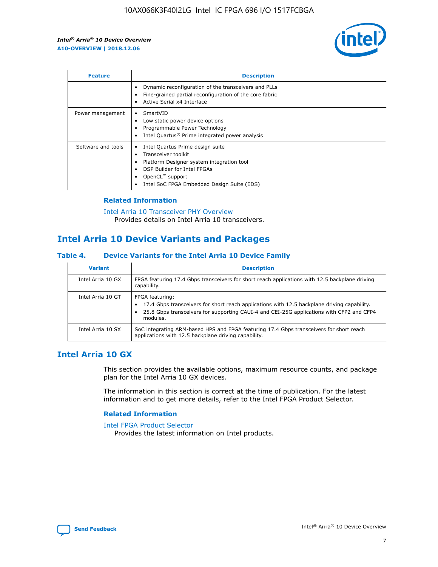

| <b>Feature</b>     | <b>Description</b>                                                                                                                                                                                                    |
|--------------------|-----------------------------------------------------------------------------------------------------------------------------------------------------------------------------------------------------------------------|
|                    | Dynamic reconfiguration of the transceivers and PLLs<br>Fine-grained partial reconfiguration of the core fabric<br>Active Serial x4 Interface                                                                         |
| Power management   | SmartVID<br>Low static power device options<br>Programmable Power Technology<br>Intel Quartus <sup>®</sup> Prime integrated power analysis                                                                            |
| Software and tools | Intel Quartus Prime design suite<br>Transceiver toolkit<br>٠<br>Platform Designer system integration tool<br>DSP Builder for Intel FPGAs<br>OpenCL <sup>™</sup> support<br>Intel SoC FPGA Embedded Design Suite (EDS) |

## **Related Information**

[Intel Arria 10 Transceiver PHY Overview](https://www.intel.com/content/www/us/en/programmable/documentation/nik1398707230472.html#nik1398706768037) Provides details on Intel Arria 10 transceivers.

# **Intel Arria 10 Device Variants and Packages**

#### **Table 4. Device Variants for the Intel Arria 10 Device Family**

| <b>Variant</b>    | <b>Description</b>                                                                                                                                                                                                     |
|-------------------|------------------------------------------------------------------------------------------------------------------------------------------------------------------------------------------------------------------------|
| Intel Arria 10 GX | FPGA featuring 17.4 Gbps transceivers for short reach applications with 12.5 backplane driving<br>capability.                                                                                                          |
| Intel Arria 10 GT | FPGA featuring:<br>17.4 Gbps transceivers for short reach applications with 12.5 backplane driving capability.<br>25.8 Gbps transceivers for supporting CAUI-4 and CEI-25G applications with CFP2 and CFP4<br>modules. |
| Intel Arria 10 SX | SoC integrating ARM-based HPS and FPGA featuring 17.4 Gbps transceivers for short reach<br>applications with 12.5 backplane driving capability.                                                                        |

# **Intel Arria 10 GX**

This section provides the available options, maximum resource counts, and package plan for the Intel Arria 10 GX devices.

The information in this section is correct at the time of publication. For the latest information and to get more details, refer to the Intel FPGA Product Selector.

#### **Related Information**

#### [Intel FPGA Product Selector](http://www.altera.com/products/selector/psg-selector.html) Provides the latest information on Intel products.

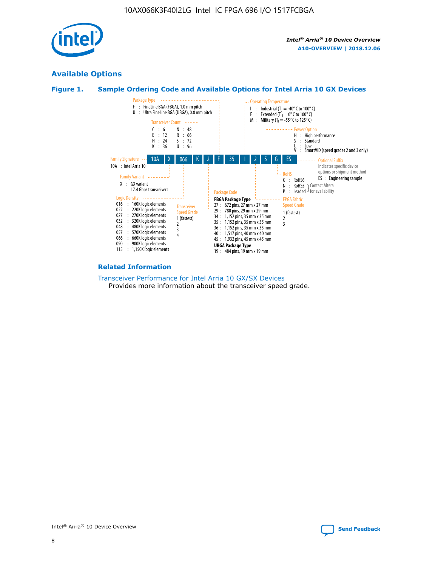

# **Available Options**





#### **Related Information**

[Transceiver Performance for Intel Arria 10 GX/SX Devices](https://www.intel.com/content/www/us/en/programmable/documentation/mcn1413182292568.html#mcn1413213965502) Provides more information about the transceiver speed grade.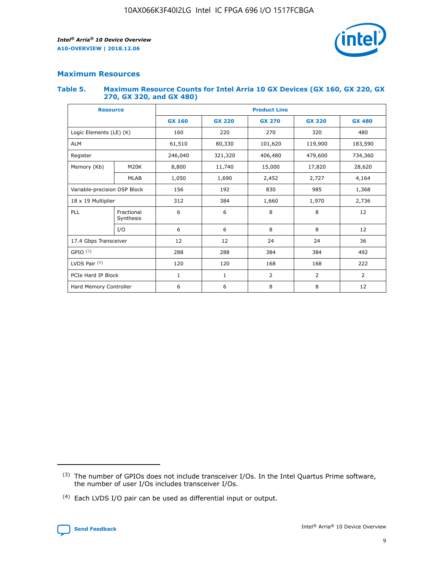

# **Maximum Resources**

#### **Table 5. Maximum Resource Counts for Intel Arria 10 GX Devices (GX 160, GX 220, GX 270, GX 320, and GX 480)**

| <b>Resource</b>         |                                                          | <b>Product Line</b> |                                |         |                |                |  |  |  |
|-------------------------|----------------------------------------------------------|---------------------|--------------------------------|---------|----------------|----------------|--|--|--|
|                         |                                                          | <b>GX 160</b>       | <b>GX 220</b><br><b>GX 270</b> |         | <b>GX 320</b>  | <b>GX 480</b>  |  |  |  |
| Logic Elements (LE) (K) |                                                          | 160                 | 220                            | 270     | 320            | 480            |  |  |  |
| <b>ALM</b>              |                                                          | 61,510              | 80,330                         | 101,620 | 119,900        | 183,590        |  |  |  |
| Register                |                                                          | 246,040             | 321,320                        | 406,480 | 479,600        | 734,360        |  |  |  |
| Memory (Kb)             | M <sub>20</sub> K                                        | 8,800               | 11,740                         | 15,000  | 17,820         | 28,620         |  |  |  |
| <b>MLAB</b>             |                                                          | 1,050               | 1,690                          | 2,452   | 2,727          | 4,164          |  |  |  |
|                         | Variable-precision DSP Block<br>156<br>192<br>830<br>985 |                     |                                |         | 1,368          |                |  |  |  |
| 18 x 19 Multiplier      |                                                          | 312                 | 384                            | 1,660   | 1,970          | 2,736          |  |  |  |
| PLL                     | Fractional<br>Synthesis                                  | 6                   | 6                              | 8       | 8              | 12             |  |  |  |
|                         | I/O                                                      | 6                   | 6                              | 8       | 8              | 12             |  |  |  |
| 17.4 Gbps Transceiver   |                                                          | 12                  | 12                             | 24      | 24             |                |  |  |  |
| GPIO <sup>(3)</sup>     |                                                          | 288                 | 288                            | 384     | 384            | 492            |  |  |  |
| LVDS Pair $(4)$         |                                                          | 120                 | 120                            | 168     | 168            | 222            |  |  |  |
| PCIe Hard IP Block      |                                                          | 1                   | 1                              | 2       | $\overline{2}$ | $\overline{2}$ |  |  |  |
| Hard Memory Controller  |                                                          | 6                   | 6                              | 8       | 8              | 12             |  |  |  |

<sup>(4)</sup> Each LVDS I/O pair can be used as differential input or output.



<sup>(3)</sup> The number of GPIOs does not include transceiver I/Os. In the Intel Quartus Prime software, the number of user I/Os includes transceiver I/Os.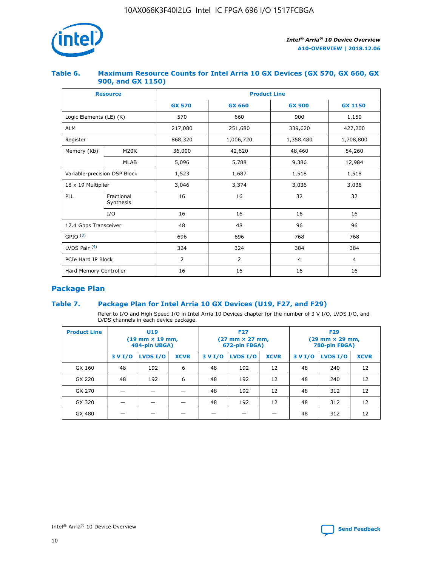

## **Table 6. Maximum Resource Counts for Intel Arria 10 GX Devices (GX 570, GX 660, GX 900, and GX 1150)**

|                              | <b>Resource</b>         | <b>Product Line</b> |                |                |                |  |  |  |
|------------------------------|-------------------------|---------------------|----------------|----------------|----------------|--|--|--|
|                              |                         | <b>GX 570</b>       | <b>GX 660</b>  |                | <b>GX 1150</b> |  |  |  |
| Logic Elements (LE) (K)      |                         | 570                 | 660            | 900            | 1,150          |  |  |  |
| <b>ALM</b>                   |                         | 217,080             | 251,680        | 339,620        | 427,200        |  |  |  |
| Register                     |                         | 868,320             | 1,006,720      | 1,358,480      | 1,708,800      |  |  |  |
| Memory (Kb)                  | <b>M20K</b>             | 36,000              | 42,620         | 48,460         | 54,260         |  |  |  |
|                              | <b>MLAB</b>             | 5,096               | 5,788          |                | 12,984         |  |  |  |
| Variable-precision DSP Block |                         | 1,523               | 1,687          | 1,518          | 1,518          |  |  |  |
| $18 \times 19$ Multiplier    |                         | 3,046               | 3,374          | 3,036          | 3,036          |  |  |  |
| PLL                          | Fractional<br>Synthesis | 16                  | 16             | 32             | 32             |  |  |  |
|                              | I/O                     | 16                  | 16             | 16             | 16             |  |  |  |
| 17.4 Gbps Transceiver        |                         | 48                  | 48<br>96       |                | 96             |  |  |  |
| GPIO <sup>(3)</sup>          |                         | 696                 | 696            | 768            | 768            |  |  |  |
| LVDS Pair $(4)$              |                         | 324                 | 324            | 384            | 384            |  |  |  |
| PCIe Hard IP Block           |                         | 2                   | $\overline{2}$ | $\overline{4}$ | $\overline{4}$ |  |  |  |
| Hard Memory Controller       |                         | 16                  | 16             | 16             | 16             |  |  |  |

# **Package Plan**

## **Table 7. Package Plan for Intel Arria 10 GX Devices (U19, F27, and F29)**

Refer to I/O and High Speed I/O in Intel Arria 10 Devices chapter for the number of 3 V I/O, LVDS I/O, and LVDS channels in each device package.

| <b>Product Line</b> | U <sub>19</sub><br>$(19 \text{ mm} \times 19 \text{ mm})$<br>484-pin UBGA) |          |             |         | <b>F27</b><br>(27 mm × 27 mm,<br>672-pin FBGA) |             | <b>F29</b><br>(29 mm × 29 mm,<br>780-pin FBGA) |          |             |  |
|---------------------|----------------------------------------------------------------------------|----------|-------------|---------|------------------------------------------------|-------------|------------------------------------------------|----------|-------------|--|
|                     | 3 V I/O                                                                    | LVDS I/O | <b>XCVR</b> | 3 V I/O | <b>LVDS I/O</b>                                | <b>XCVR</b> | 3 V I/O                                        | LVDS I/O | <b>XCVR</b> |  |
| GX 160              | 48                                                                         | 192      | 6           | 48      | 192                                            | 12          | 48                                             | 240      | 12          |  |
| GX 220              | 48                                                                         | 192      | 6           | 48      | 192                                            | 12          | 48                                             | 240      | 12          |  |
| GX 270              |                                                                            |          |             | 48      | 192                                            | 12          | 48                                             | 312      | 12          |  |
| GX 320              |                                                                            |          |             | 48      | 192                                            | 12          | 48                                             | 312      | 12          |  |
| GX 480              |                                                                            |          |             |         |                                                |             | 48                                             | 312      | 12          |  |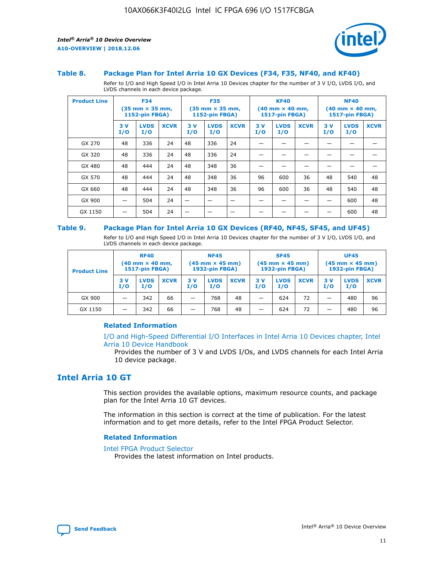

#### **Table 8. Package Plan for Intel Arria 10 GX Devices (F34, F35, NF40, and KF40)**

Refer to I/O and High Speed I/O in Intel Arria 10 Devices chapter for the number of 3 V I/O, LVDS I/O, and LVDS channels in each device package.

| <b>Product Line</b> | <b>F34</b><br>$(35 \text{ mm} \times 35 \text{ mm})$<br>1152-pin FBGA) |                    | <b>F35</b><br>$(35 \text{ mm} \times 35 \text{ mm})$<br><b>1152-pin FBGA)</b> |           | <b>KF40</b><br>$(40$ mm $\times$ 40 mm,<br>1517-pin FBGA) |             |           | <b>NF40</b><br>$(40 \text{ mm} \times 40 \text{ mm})$<br><b>1517-pin FBGA)</b> |             |            |                    |             |
|---------------------|------------------------------------------------------------------------|--------------------|-------------------------------------------------------------------------------|-----------|-----------------------------------------------------------|-------------|-----------|--------------------------------------------------------------------------------|-------------|------------|--------------------|-------------|
|                     | 3V<br>I/O                                                              | <b>LVDS</b><br>I/O | <b>XCVR</b>                                                                   | 3V<br>I/O | <b>LVDS</b><br>I/O                                        | <b>XCVR</b> | 3V<br>I/O | <b>LVDS</b><br>I/O                                                             | <b>XCVR</b> | 3 V<br>I/O | <b>LVDS</b><br>I/O | <b>XCVR</b> |
| GX 270              | 48                                                                     | 336                | 24                                                                            | 48        | 336                                                       | 24          |           |                                                                                |             |            |                    |             |
| GX 320              | 48                                                                     | 336                | 24                                                                            | 48        | 336                                                       | 24          |           |                                                                                |             |            |                    |             |
| GX 480              | 48                                                                     | 444                | 24                                                                            | 48        | 348                                                       | 36          |           |                                                                                |             |            |                    |             |
| GX 570              | 48                                                                     | 444                | 24                                                                            | 48        | 348                                                       | 36          | 96        | 600                                                                            | 36          | 48         | 540                | 48          |
| GX 660              | 48                                                                     | 444                | 24                                                                            | 48        | 348                                                       | 36          | 96        | 600                                                                            | 36          | 48         | 540                | 48          |
| GX 900              |                                                                        | 504                | 24                                                                            | –         |                                                           |             |           |                                                                                |             |            | 600                | 48          |
| GX 1150             |                                                                        | 504                | 24                                                                            |           |                                                           |             |           |                                                                                |             |            | 600                | 48          |

#### **Table 9. Package Plan for Intel Arria 10 GX Devices (RF40, NF45, SF45, and UF45)**

Refer to I/O and High Speed I/O in Intel Arria 10 Devices chapter for the number of 3 V I/O, LVDS I/O, and LVDS channels in each device package.

| <b>Product Line</b> | <b>RF40</b><br>$(40$ mm $\times$ 40 mm,<br>1517-pin FBGA) |                    |             | <b>NF45</b><br>$(45 \text{ mm} \times 45 \text{ mm})$<br><b>1932-pin FBGA)</b> |                    |             | <b>SF45</b><br>$(45 \text{ mm} \times 45 \text{ mm})$<br><b>1932-pin FBGA)</b> |                    |             | <b>UF45</b><br>$(45 \text{ mm} \times 45 \text{ mm})$<br><b>1932-pin FBGA)</b> |                    |             |
|---------------------|-----------------------------------------------------------|--------------------|-------------|--------------------------------------------------------------------------------|--------------------|-------------|--------------------------------------------------------------------------------|--------------------|-------------|--------------------------------------------------------------------------------|--------------------|-------------|
|                     | 3V<br>I/O                                                 | <b>LVDS</b><br>I/O | <b>XCVR</b> | 3 V<br>I/O                                                                     | <b>LVDS</b><br>I/O | <b>XCVR</b> | 3 V<br>I/O                                                                     | <b>LVDS</b><br>I/O | <b>XCVR</b> | 3V<br>I/O                                                                      | <b>LVDS</b><br>I/O | <b>XCVR</b> |
| GX 900              |                                                           | 342                | 66          | _                                                                              | 768                | 48          |                                                                                | 624                | 72          |                                                                                | 480                | 96          |
| GX 1150             |                                                           | 342                | 66          | _                                                                              | 768                | 48          |                                                                                | 624                | 72          |                                                                                | 480                | 96          |

#### **Related Information**

[I/O and High-Speed Differential I/O Interfaces in Intel Arria 10 Devices chapter, Intel](https://www.intel.com/content/www/us/en/programmable/documentation/sam1403482614086.html#sam1403482030321) [Arria 10 Device Handbook](https://www.intel.com/content/www/us/en/programmable/documentation/sam1403482614086.html#sam1403482030321)

Provides the number of 3 V and LVDS I/Os, and LVDS channels for each Intel Arria 10 device package.

# **Intel Arria 10 GT**

This section provides the available options, maximum resource counts, and package plan for the Intel Arria 10 GT devices.

The information in this section is correct at the time of publication. For the latest information and to get more details, refer to the Intel FPGA Product Selector.

#### **Related Information**

#### [Intel FPGA Product Selector](http://www.altera.com/products/selector/psg-selector.html)

Provides the latest information on Intel products.

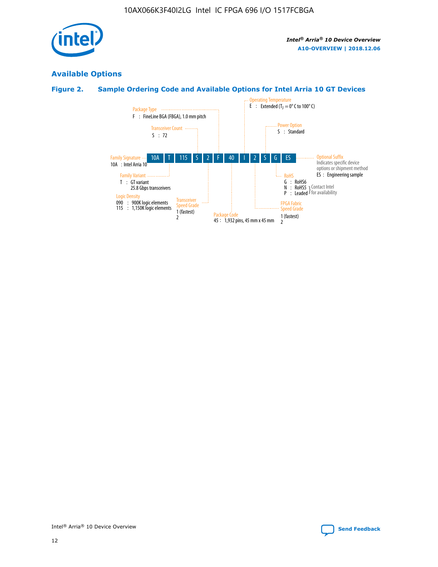

# **Available Options**

# **Figure 2. Sample Ordering Code and Available Options for Intel Arria 10 GT Devices**

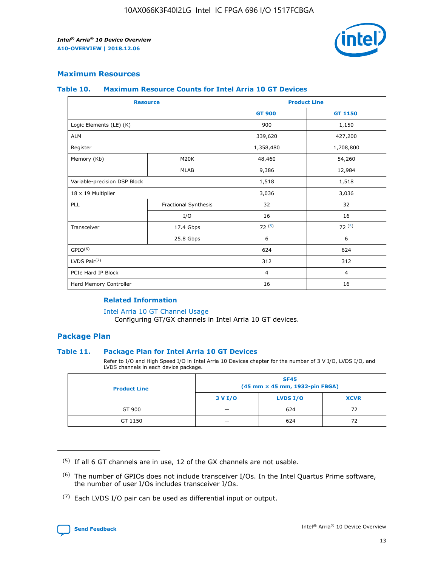

## **Maximum Resources**

#### **Table 10. Maximum Resource Counts for Intel Arria 10 GT Devices**

|                              | <b>Resource</b>      | <b>Product Line</b> |                |  |
|------------------------------|----------------------|---------------------|----------------|--|
|                              |                      | <b>GT 900</b>       | GT 1150        |  |
| Logic Elements (LE) (K)      |                      | 900                 | 1,150          |  |
| <b>ALM</b>                   |                      | 339,620             | 427,200        |  |
| Register                     |                      | 1,358,480           | 1,708,800      |  |
| Memory (Kb)                  | M20K                 | 48,460              | 54,260         |  |
| <b>MLAB</b>                  |                      | 9,386               | 12,984         |  |
| Variable-precision DSP Block |                      | 1,518               | 1,518          |  |
| 18 x 19 Multiplier           |                      | 3,036               | 3,036          |  |
| PLL                          | Fractional Synthesis | 32                  | 32             |  |
|                              | I/O                  | 16                  | 16             |  |
| Transceiver                  | 17.4 Gbps            | 72(5)               | 72(5)          |  |
|                              | 25.8 Gbps            | 6                   | 6              |  |
| GPIO <sup>(6)</sup>          |                      | 624                 | 624            |  |
| LVDS Pair $(7)$              |                      | 312                 | 312            |  |
| PCIe Hard IP Block           |                      | $\overline{4}$      | $\overline{4}$ |  |
| Hard Memory Controller       |                      | 16                  | 16             |  |

#### **Related Information**

#### [Intel Arria 10 GT Channel Usage](https://www.intel.com/content/www/us/en/programmable/documentation/nik1398707230472.html#nik1398707008178)

Configuring GT/GX channels in Intel Arria 10 GT devices.

## **Package Plan**

#### **Table 11. Package Plan for Intel Arria 10 GT Devices**

Refer to I/O and High Speed I/O in Intel Arria 10 Devices chapter for the number of 3 V I/O, LVDS I/O, and LVDS channels in each device package.

| <b>Product Line</b> | <b>SF45</b><br>(45 mm × 45 mm, 1932-pin FBGA) |                 |             |  |  |  |
|---------------------|-----------------------------------------------|-----------------|-------------|--|--|--|
|                     | 3 V I/O                                       | <b>LVDS I/O</b> | <b>XCVR</b> |  |  |  |
| GT 900              |                                               | 624             | 72          |  |  |  |
| GT 1150             |                                               | 624             | 72          |  |  |  |

<sup>(7)</sup> Each LVDS I/O pair can be used as differential input or output.



 $(5)$  If all 6 GT channels are in use, 12 of the GX channels are not usable.

<sup>(6)</sup> The number of GPIOs does not include transceiver I/Os. In the Intel Quartus Prime software, the number of user I/Os includes transceiver I/Os.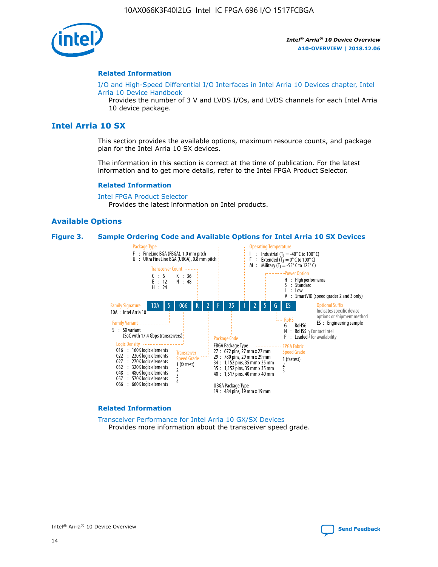

#### **Related Information**

[I/O and High-Speed Differential I/O Interfaces in Intel Arria 10 Devices chapter, Intel](https://www.intel.com/content/www/us/en/programmable/documentation/sam1403482614086.html#sam1403482030321) [Arria 10 Device Handbook](https://www.intel.com/content/www/us/en/programmable/documentation/sam1403482614086.html#sam1403482030321)

Provides the number of 3 V and LVDS I/Os, and LVDS channels for each Intel Arria 10 device package.

# **Intel Arria 10 SX**

This section provides the available options, maximum resource counts, and package plan for the Intel Arria 10 SX devices.

The information in this section is correct at the time of publication. For the latest information and to get more details, refer to the Intel FPGA Product Selector.

#### **Related Information**

[Intel FPGA Product Selector](http://www.altera.com/products/selector/psg-selector.html) Provides the latest information on Intel products.

#### **Available Options**

#### **Figure 3. Sample Ordering Code and Available Options for Intel Arria 10 SX Devices**



#### **Related Information**

[Transceiver Performance for Intel Arria 10 GX/SX Devices](https://www.intel.com/content/www/us/en/programmable/documentation/mcn1413182292568.html#mcn1413213965502) Provides more information about the transceiver speed grade.

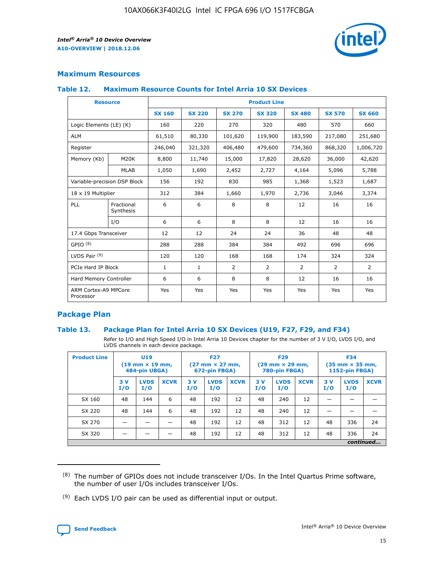

## **Maximum Resources**

#### **Table 12. Maximum Resource Counts for Intel Arria 10 SX Devices**

|                                   | <b>Resource</b>         | <b>Product Line</b> |               |                |                |                |                |                |  |  |  |
|-----------------------------------|-------------------------|---------------------|---------------|----------------|----------------|----------------|----------------|----------------|--|--|--|
|                                   |                         | <b>SX 160</b>       | <b>SX 220</b> | <b>SX 270</b>  | <b>SX 320</b>  | <b>SX 480</b>  | <b>SX 570</b>  | <b>SX 660</b>  |  |  |  |
| Logic Elements (LE) (K)           |                         | 160                 | 220           | 270            | 320            | 480            | 570            | 660            |  |  |  |
| <b>ALM</b>                        |                         | 61,510              | 80,330        | 101,620        | 119,900        | 183,590        | 217,080        | 251,680        |  |  |  |
| Register                          |                         | 246,040             | 321,320       | 406,480        | 479,600        | 734,360        | 868,320        | 1,006,720      |  |  |  |
| Memory (Kb)                       | M <sub>20</sub> K       | 8,800               | 11,740        | 15,000         | 17,820         | 28,620         | 36,000         | 42,620         |  |  |  |
|                                   | <b>MLAB</b>             | 1,050               | 1,690         | 2,452          | 2,727          | 4,164          | 5,096          | 5,788          |  |  |  |
| Variable-precision DSP Block      |                         | 156                 | 192           | 830            | 985            | 1,368          | 1,523          | 1,687          |  |  |  |
| 18 x 19 Multiplier                |                         | 312                 | 384           | 1,660          | 1,970          | 2,736          | 3,046          | 3,374          |  |  |  |
| <b>PLL</b>                        | Fractional<br>Synthesis | 6                   | 6             | 8              | 8              | 12             | 16             | 16             |  |  |  |
|                                   | I/O                     | 6                   | 6             | 8              | 8              | 12             | 16             | 16             |  |  |  |
| 17.4 Gbps Transceiver             |                         | 12                  | 12            | 24             | 24             | 36             | 48             | 48             |  |  |  |
| GPIO <sup>(8)</sup>               |                         | 288                 | 288           | 384            | 384            | 492            | 696            | 696            |  |  |  |
| LVDS Pair $(9)$                   |                         | 120                 | 120           | 168            | 168            | 174            | 324            | 324            |  |  |  |
| PCIe Hard IP Block                |                         | $\mathbf{1}$        | $\mathbf{1}$  | $\overline{2}$ | $\overline{2}$ | $\overline{2}$ | $\overline{2}$ | $\overline{2}$ |  |  |  |
| Hard Memory Controller            |                         | 6                   | 6             | 8              | 8              | 12             | 16             | 16             |  |  |  |
| ARM Cortex-A9 MPCore<br>Processor |                         | Yes                 | Yes           | Yes            | Yes            | Yes            | Yes            | Yes            |  |  |  |

## **Package Plan**

#### **Table 13. Package Plan for Intel Arria 10 SX Devices (U19, F27, F29, and F34)**

Refer to I/O and High Speed I/O in Intel Arria 10 Devices chapter for the number of 3 V I/O, LVDS I/O, and LVDS channels in each device package.

| <b>Product Line</b> | U <sub>19</sub><br>$(19 \text{ mm} \times 19 \text{ mm})$<br>484-pin UBGA) |                    | <b>F27</b><br>$(27 \text{ mm} \times 27 \text{ mm})$<br>672-pin FBGA) |           | <b>F29</b><br>$(29 \text{ mm} \times 29 \text{ mm})$<br>780-pin FBGA) |             |            | <b>F34</b><br>$(35 \text{ mm} \times 35 \text{ mm})$<br><b>1152-pin FBGA)</b> |             |           |                    |             |
|---------------------|----------------------------------------------------------------------------|--------------------|-----------------------------------------------------------------------|-----------|-----------------------------------------------------------------------|-------------|------------|-------------------------------------------------------------------------------|-------------|-----------|--------------------|-------------|
|                     | 3V<br>I/O                                                                  | <b>LVDS</b><br>I/O | <b>XCVR</b>                                                           | 3V<br>I/O | <b>LVDS</b><br>I/O                                                    | <b>XCVR</b> | 3 V<br>I/O | <b>LVDS</b><br>I/O                                                            | <b>XCVR</b> | 3V<br>I/O | <b>LVDS</b><br>I/O | <b>XCVR</b> |
| SX 160              | 48                                                                         | 144                | 6                                                                     | 48        | 192                                                                   | 12          | 48         | 240                                                                           | 12          | –         |                    |             |
| SX 220              | 48                                                                         | 144                | 6                                                                     | 48        | 192                                                                   | 12          | 48         | 240                                                                           | 12          |           |                    |             |
| SX 270              |                                                                            |                    |                                                                       | 48        | 192                                                                   | 12          | 48         | 312                                                                           | 12          | 48        | 336                | 24          |
| SX 320              |                                                                            |                    |                                                                       | 48        | 192                                                                   | 12          | 48         | 312                                                                           | 12          | 48        | 336                | 24          |
|                     | continued                                                                  |                    |                                                                       |           |                                                                       |             |            |                                                                               |             |           |                    |             |

 $(8)$  The number of GPIOs does not include transceiver I/Os. In the Intel Quartus Prime software, the number of user I/Os includes transceiver I/Os.

 $(9)$  Each LVDS I/O pair can be used as differential input or output.

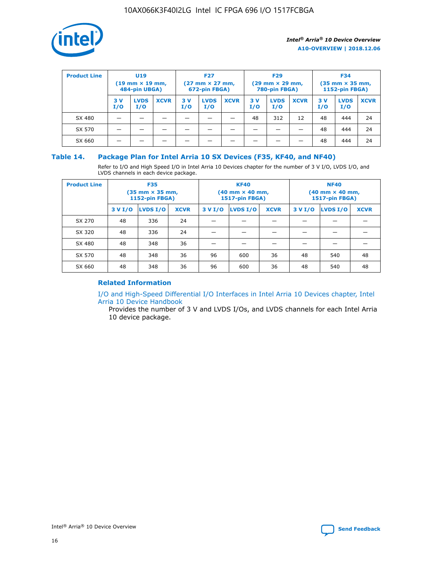

| <b>Product Line</b> | U <sub>19</sub><br>$(19$ mm $\times$ 19 mm,<br>484-pin UBGA) |                    | <b>F27</b><br>$(27 \text{ mm} \times 27 \text{ mm})$<br>672-pin FBGA) |           | <b>F29</b><br>$(29 \text{ mm} \times 29 \text{ mm})$<br>780-pin FBGA) |             |           | <b>F34</b><br>$(35$ mm $\times$ 35 mm,<br>1152-pin FBGA) |             |           |                    |             |
|---------------------|--------------------------------------------------------------|--------------------|-----------------------------------------------------------------------|-----------|-----------------------------------------------------------------------|-------------|-----------|----------------------------------------------------------|-------------|-----------|--------------------|-------------|
|                     | 3 V<br>I/O                                                   | <b>LVDS</b><br>I/O | <b>XCVR</b>                                                           | 3V<br>I/O | <b>LVDS</b><br>I/O                                                    | <b>XCVR</b> | 3V<br>I/O | <b>LVDS</b><br>I/O                                       | <b>XCVR</b> | 3V<br>I/O | <b>LVDS</b><br>I/O | <b>XCVR</b> |
| SX 480              |                                                              |                    |                                                                       |           |                                                                       |             | 48        | 312                                                      | 12          | 48        | 444                | 24          |
| SX 570              |                                                              |                    |                                                                       |           |                                                                       |             |           |                                                          |             | 48        | 444                | 24          |
| SX 660              |                                                              |                    |                                                                       |           |                                                                       |             |           |                                                          |             | 48        | 444                | 24          |

## **Table 14. Package Plan for Intel Arria 10 SX Devices (F35, KF40, and NF40)**

Refer to I/O and High Speed I/O in Intel Arria 10 Devices chapter for the number of 3 V I/O, LVDS I/O, and LVDS channels in each device package.

| <b>Product Line</b> | <b>F35</b><br>$(35 \text{ mm} \times 35 \text{ mm})$<br><b>1152-pin FBGA)</b> |          |             |                                           | <b>KF40</b><br>(40 mm × 40 mm,<br>1517-pin FBGA) |    | <b>NF40</b><br>$(40 \text{ mm} \times 40 \text{ mm})$<br>1517-pin FBGA) |          |             |  |
|---------------------|-------------------------------------------------------------------------------|----------|-------------|-------------------------------------------|--------------------------------------------------|----|-------------------------------------------------------------------------|----------|-------------|--|
|                     | 3 V I/O                                                                       | LVDS I/O | <b>XCVR</b> | <b>LVDS I/O</b><br><b>XCVR</b><br>3 V I/O |                                                  |    | 3 V I/O                                                                 | LVDS I/O | <b>XCVR</b> |  |
| SX 270              | 48                                                                            | 336      | 24          |                                           |                                                  |    |                                                                         |          |             |  |
| SX 320              | 48                                                                            | 336      | 24          |                                           |                                                  |    |                                                                         |          |             |  |
| SX 480              | 48                                                                            | 348      | 36          |                                           |                                                  |    |                                                                         |          |             |  |
| SX 570              | 48                                                                            | 348      | 36          | 96                                        | 600                                              | 36 | 48                                                                      | 540      | 48          |  |
| SX 660              | 48                                                                            | 348      | 36          | 96                                        | 600                                              | 36 | 48                                                                      | 540      | 48          |  |

# **Related Information**

[I/O and High-Speed Differential I/O Interfaces in Intel Arria 10 Devices chapter, Intel](https://www.intel.com/content/www/us/en/programmable/documentation/sam1403482614086.html#sam1403482030321) [Arria 10 Device Handbook](https://www.intel.com/content/www/us/en/programmable/documentation/sam1403482614086.html#sam1403482030321)

Provides the number of 3 V and LVDS I/Os, and LVDS channels for each Intel Arria 10 device package.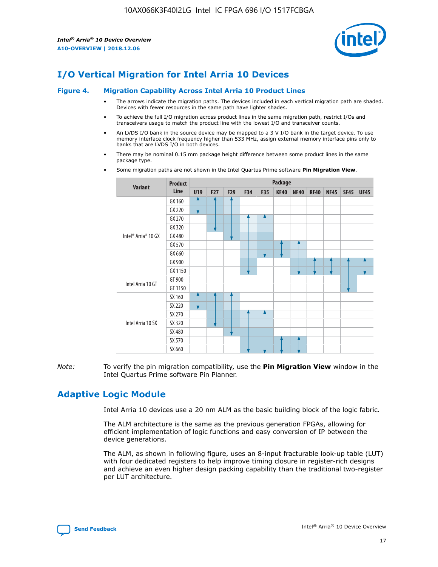

# **I/O Vertical Migration for Intel Arria 10 Devices**

#### **Figure 4. Migration Capability Across Intel Arria 10 Product Lines**

- The arrows indicate the migration paths. The devices included in each vertical migration path are shaded. Devices with fewer resources in the same path have lighter shades.
- To achieve the full I/O migration across product lines in the same migration path, restrict I/Os and transceivers usage to match the product line with the lowest I/O and transceiver counts.
- An LVDS I/O bank in the source device may be mapped to a 3 V I/O bank in the target device. To use memory interface clock frequency higher than 533 MHz, assign external memory interface pins only to banks that are LVDS I/O in both devices.
- There may be nominal 0.15 mm package height difference between some product lines in the same package type.
	- **Variant Product Line Package U19 F27 F29 F34 F35 KF40 NF40 RF40 NF45 SF45 UF45** Intel® Arria® 10 GX GX 160 GX 220 GX 270 GX 320 GX 480 GX 570 GX 660 GX 900 GX 1150 Intel Arria 10 GT GT 900 GT 1150 Intel Arria 10 SX SX 160 SX 220 SX 270 SX 320 SX 480 SX 570 SX 660
- Some migration paths are not shown in the Intel Quartus Prime software **Pin Migration View**.

*Note:* To verify the pin migration compatibility, use the **Pin Migration View** window in the Intel Quartus Prime software Pin Planner.

# **Adaptive Logic Module**

Intel Arria 10 devices use a 20 nm ALM as the basic building block of the logic fabric.

The ALM architecture is the same as the previous generation FPGAs, allowing for efficient implementation of logic functions and easy conversion of IP between the device generations.

The ALM, as shown in following figure, uses an 8-input fracturable look-up table (LUT) with four dedicated registers to help improve timing closure in register-rich designs and achieve an even higher design packing capability than the traditional two-register per LUT architecture.

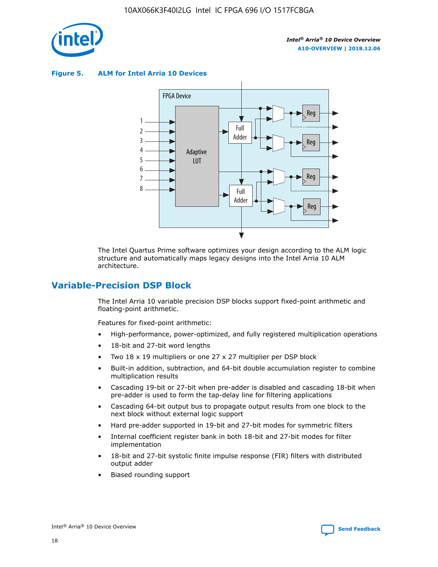

**Figure 5. ALM for Intel Arria 10 Devices**



The Intel Quartus Prime software optimizes your design according to the ALM logic structure and automatically maps legacy designs into the Intel Arria 10 ALM architecture.

# **Variable-Precision DSP Block**

The Intel Arria 10 variable precision DSP blocks support fixed-point arithmetic and floating-point arithmetic.

Features for fixed-point arithmetic:

- High-performance, power-optimized, and fully registered multiplication operations
- 18-bit and 27-bit word lengths
- Two 18 x 19 multipliers or one 27 x 27 multiplier per DSP block
- Built-in addition, subtraction, and 64-bit double accumulation register to combine multiplication results
- Cascading 19-bit or 27-bit when pre-adder is disabled and cascading 18-bit when pre-adder is used to form the tap-delay line for filtering applications
- Cascading 64-bit output bus to propagate output results from one block to the next block without external logic support
- Hard pre-adder supported in 19-bit and 27-bit modes for symmetric filters
- Internal coefficient register bank in both 18-bit and 27-bit modes for filter implementation
- 18-bit and 27-bit systolic finite impulse response (FIR) filters with distributed output adder
- Biased rounding support

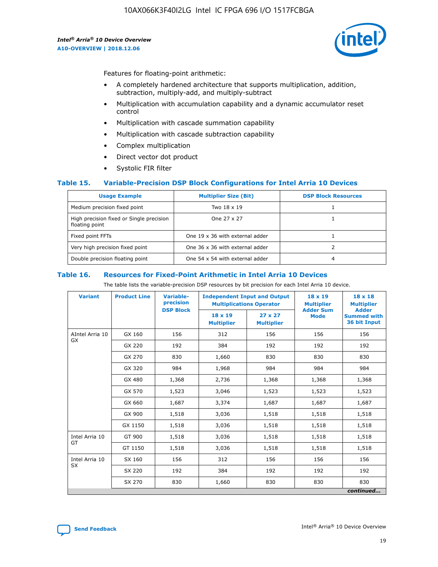

Features for floating-point arithmetic:

- A completely hardened architecture that supports multiplication, addition, subtraction, multiply-add, and multiply-subtract
- Multiplication with accumulation capability and a dynamic accumulator reset control
- Multiplication with cascade summation capability
- Multiplication with cascade subtraction capability
- Complex multiplication
- Direct vector dot product
- Systolic FIR filter

#### **Table 15. Variable-Precision DSP Block Configurations for Intel Arria 10 Devices**

| <b>Usage Example</b>                                       | <b>Multiplier Size (Bit)</b>    | <b>DSP Block Resources</b> |
|------------------------------------------------------------|---------------------------------|----------------------------|
| Medium precision fixed point                               | Two 18 x 19                     |                            |
| High precision fixed or Single precision<br>floating point | One 27 x 27                     |                            |
| Fixed point FFTs                                           | One 19 x 36 with external adder |                            |
| Very high precision fixed point                            | One 36 x 36 with external adder |                            |
| Double precision floating point                            | One 54 x 54 with external adder | 4                          |

#### **Table 16. Resources for Fixed-Point Arithmetic in Intel Arria 10 Devices**

The table lists the variable-precision DSP resources by bit precision for each Intel Arria 10 device.

| <b>Variant</b>        | <b>Product Line</b> | Variable-<br>precision | <b>Independent Input and Output</b><br><b>Multiplications Operator</b> |                                     | $18 \times 19$<br><b>Multiplier</b><br><b>Adder Sum</b> | $18 \times 18$<br><b>Multiplier</b>                |
|-----------------------|---------------------|------------------------|------------------------------------------------------------------------|-------------------------------------|---------------------------------------------------------|----------------------------------------------------|
|                       |                     | <b>DSP Block</b>       | 18 x 19<br><b>Multiplier</b>                                           | $27 \times 27$<br><b>Multiplier</b> | <b>Mode</b>                                             | <b>Adder</b><br><b>Summed with</b><br>36 bit Input |
| AIntel Arria 10<br>GX | GX 160              | 156                    | 312                                                                    | 156                                 | 156                                                     | 156                                                |
|                       | GX 220              | 192                    | 384                                                                    | 192                                 | 192                                                     | 192                                                |
|                       | GX 270              | 830                    | 1,660                                                                  | 830                                 | 830                                                     | 830                                                |
|                       | GX 320              | 984                    | 1,968                                                                  | 984                                 | 984                                                     | 984                                                |
|                       | GX 480              | 1,368                  | 2,736                                                                  | 1,368                               | 1,368                                                   | 1,368                                              |
|                       | GX 570              | 1,523                  | 3,046                                                                  | 1,523                               | 1,523                                                   | 1,523                                              |
|                       | GX 660              | 1,687                  | 3,374                                                                  | 1,687                               | 1,687                                                   | 1,687                                              |
|                       | GX 900              | 1,518                  | 3,036                                                                  | 1,518                               | 1,518                                                   | 1,518                                              |
|                       | GX 1150             | 1,518                  | 3,036                                                                  | 1,518                               | 1,518                                                   | 1,518                                              |
| Intel Arria 10        | GT 900              | 1,518                  | 3,036                                                                  | 1,518                               | 1,518                                                   | 1,518                                              |
| GT                    | GT 1150             | 1,518                  | 3,036                                                                  | 1,518                               | 1,518                                                   | 1,518                                              |
| Intel Arria 10        | SX 160              | 156                    | 312                                                                    | 156                                 | 156                                                     | 156                                                |
| <b>SX</b>             | SX 220              | 192                    | 384                                                                    | 192                                 | 192                                                     | 192                                                |
|                       | SX 270              | 830                    | 1,660                                                                  | 830                                 | 830                                                     | 830                                                |
|                       |                     |                        |                                                                        |                                     |                                                         | continued                                          |

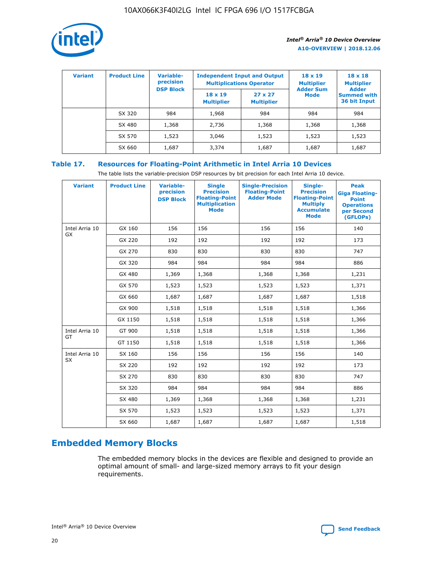

| <b>Variant</b> | <b>Product Line</b> | <b>Variable-</b><br>precision<br><b>DSP Block</b> | <b>Independent Input and Output</b><br><b>Multiplications Operator</b> |                                     | $18 \times 19$<br><b>Multiplier</b><br><b>Adder Sum</b> | $18 \times 18$<br><b>Multiplier</b><br><b>Adder</b> |  |
|----------------|---------------------|---------------------------------------------------|------------------------------------------------------------------------|-------------------------------------|---------------------------------------------------------|-----------------------------------------------------|--|
|                |                     |                                                   | $18 \times 19$<br><b>Multiplier</b>                                    | $27 \times 27$<br><b>Multiplier</b> | <b>Mode</b>                                             | <b>Summed with</b><br>36 bit Input                  |  |
|                | SX 320              | 984                                               | 1,968                                                                  | 984                                 | 984                                                     | 984                                                 |  |
|                | SX 480              | 1,368                                             | 2,736                                                                  | 1,368                               | 1,368                                                   | 1,368                                               |  |
|                | SX 570              | 1,523                                             | 3,046                                                                  | 1,523                               | 1,523                                                   | 1,523                                               |  |
|                | SX 660              | 1,687                                             | 3,374                                                                  | 1,687                               | 1,687                                                   | 1,687                                               |  |

# **Table 17. Resources for Floating-Point Arithmetic in Intel Arria 10 Devices**

The table lists the variable-precision DSP resources by bit precision for each Intel Arria 10 device.

| <b>Variant</b>              | <b>Product Line</b> | <b>Variable-</b><br>precision<br><b>DSP Block</b> | <b>Single</b><br><b>Precision</b><br><b>Floating-Point</b><br><b>Multiplication</b><br><b>Mode</b> | <b>Single-Precision</b><br><b>Floating-Point</b><br><b>Adder Mode</b> | Single-<br><b>Precision</b><br><b>Floating-Point</b><br><b>Multiply</b><br><b>Accumulate</b><br><b>Mode</b> | <b>Peak</b><br><b>Giga Floating-</b><br><b>Point</b><br><b>Operations</b><br>per Second<br>(GFLOPs) |
|-----------------------------|---------------------|---------------------------------------------------|----------------------------------------------------------------------------------------------------|-----------------------------------------------------------------------|-------------------------------------------------------------------------------------------------------------|-----------------------------------------------------------------------------------------------------|
| Intel Arria 10<br><b>GX</b> | GX 160              | 156                                               | 156                                                                                                | 156                                                                   | 156                                                                                                         | 140                                                                                                 |
|                             | GX 220              | 192                                               | 192                                                                                                | 192                                                                   | 192                                                                                                         | 173                                                                                                 |
|                             | GX 270              | 830                                               | 830                                                                                                | 830                                                                   | 830                                                                                                         | 747                                                                                                 |
|                             | GX 320              | 984                                               | 984                                                                                                | 984                                                                   | 984                                                                                                         | 886                                                                                                 |
|                             | GX 480              | 1,369                                             | 1,368                                                                                              | 1,368                                                                 | 1,368                                                                                                       | 1,231                                                                                               |
|                             | GX 570              | 1,523                                             | 1,523                                                                                              | 1,523                                                                 | 1,523                                                                                                       | 1,371                                                                                               |
|                             | GX 660              | 1,687                                             | 1,687                                                                                              | 1,687                                                                 | 1,687                                                                                                       | 1,518                                                                                               |
|                             | GX 900              | 1,518                                             | 1,518                                                                                              | 1,518                                                                 | 1,518                                                                                                       | 1,366                                                                                               |
|                             | GX 1150             | 1,518                                             | 1,518                                                                                              | 1,518                                                                 | 1,518                                                                                                       | 1,366                                                                                               |
| Intel Arria 10              | GT 900              | 1,518                                             | 1,518                                                                                              | 1,518                                                                 | 1,518                                                                                                       | 1,366                                                                                               |
| GT                          | GT 1150             | 1,518                                             | 1,518                                                                                              | 1,518                                                                 | 1,518                                                                                                       | 1,366                                                                                               |
| Intel Arria 10              | SX 160              | 156                                               | 156                                                                                                | 156                                                                   | 156                                                                                                         | 140                                                                                                 |
| <b>SX</b>                   | SX 220              | 192                                               | 192                                                                                                | 192                                                                   | 192                                                                                                         | 173                                                                                                 |
|                             | SX 270              | 830                                               | 830                                                                                                | 830                                                                   | 830                                                                                                         | 747                                                                                                 |
|                             | SX 320              | 984                                               | 984                                                                                                | 984                                                                   | 984                                                                                                         | 886                                                                                                 |
|                             | SX 480              | 1,369                                             | 1,368                                                                                              | 1,368                                                                 | 1,368                                                                                                       | 1,231                                                                                               |
|                             | SX 570              | 1,523                                             | 1,523                                                                                              | 1,523                                                                 | 1,523                                                                                                       | 1,371                                                                                               |
|                             | SX 660              | 1,687                                             | 1,687                                                                                              | 1,687                                                                 | 1,687                                                                                                       | 1,518                                                                                               |

# **Embedded Memory Blocks**

The embedded memory blocks in the devices are flexible and designed to provide an optimal amount of small- and large-sized memory arrays to fit your design requirements.

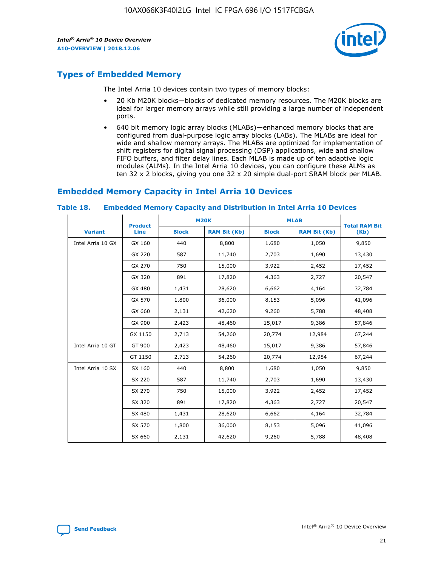

# **Types of Embedded Memory**

The Intel Arria 10 devices contain two types of memory blocks:

- 20 Kb M20K blocks—blocks of dedicated memory resources. The M20K blocks are ideal for larger memory arrays while still providing a large number of independent ports.
- 640 bit memory logic array blocks (MLABs)—enhanced memory blocks that are configured from dual-purpose logic array blocks (LABs). The MLABs are ideal for wide and shallow memory arrays. The MLABs are optimized for implementation of shift registers for digital signal processing (DSP) applications, wide and shallow FIFO buffers, and filter delay lines. Each MLAB is made up of ten adaptive logic modules (ALMs). In the Intel Arria 10 devices, you can configure these ALMs as ten 32 x 2 blocks, giving you one 32 x 20 simple dual-port SRAM block per MLAB.

# **Embedded Memory Capacity in Intel Arria 10 Devices**

|                   | <b>Product</b> |              | <b>M20K</b>         | <b>MLAB</b>  |                     | <b>Total RAM Bit</b> |
|-------------------|----------------|--------------|---------------------|--------------|---------------------|----------------------|
| <b>Variant</b>    | Line           | <b>Block</b> | <b>RAM Bit (Kb)</b> | <b>Block</b> | <b>RAM Bit (Kb)</b> | (Kb)                 |
| Intel Arria 10 GX | GX 160         | 440          | 8,800               | 1,680        | 1,050               | 9,850                |
|                   | GX 220         | 587          | 11,740              | 2,703        | 1,690               | 13,430               |
|                   | GX 270         | 750          | 15,000              | 3,922        | 2,452               | 17,452               |
|                   | GX 320         | 891          | 17,820              | 4,363        | 2,727               | 20,547               |
|                   | GX 480         | 1,431        | 28,620              | 6,662        | 4,164               | 32,784               |
|                   | GX 570         | 1,800        | 36,000              | 8,153        | 5,096               | 41,096               |
|                   | GX 660         | 2,131        | 42,620              | 9,260        | 5,788               | 48,408               |
|                   | GX 900         | 2,423        | 48,460              | 15,017       | 9,386               | 57,846               |
|                   | GX 1150        | 2,713        | 54,260              | 20,774       | 12,984              | 67,244               |
| Intel Arria 10 GT | GT 900         | 2,423        | 48,460              | 15,017       | 9,386               | 57,846               |
|                   | GT 1150        | 2,713        | 54,260              | 20,774       | 12,984              | 67,244               |
| Intel Arria 10 SX | SX 160         | 440          | 8,800               | 1,680        | 1,050               | 9,850                |
|                   | SX 220         | 587          | 11,740              | 2,703        | 1,690               | 13,430               |
|                   | SX 270         | 750          | 15,000              | 3,922        | 2,452               | 17,452               |
|                   | SX 320         | 891          | 17,820              | 4,363        | 2,727               | 20,547               |
|                   | SX 480         | 1,431        | 28,620              | 6,662        | 4,164               | 32,784               |
|                   | SX 570         | 1,800        | 36,000              | 8,153        | 5,096               | 41,096               |
|                   | SX 660         | 2,131        | 42,620              | 9,260        | 5,788               | 48,408               |

#### **Table 18. Embedded Memory Capacity and Distribution in Intel Arria 10 Devices**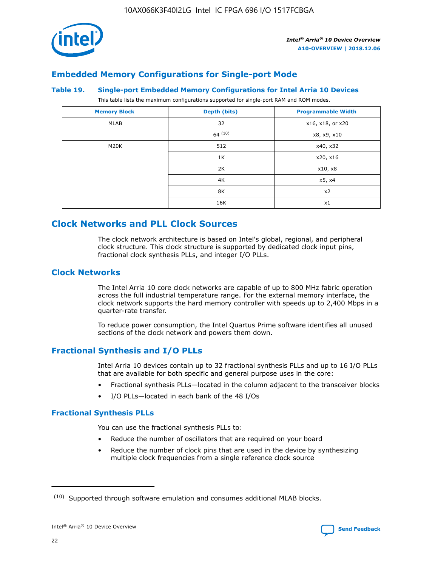

# **Embedded Memory Configurations for Single-port Mode**

#### **Table 19. Single-port Embedded Memory Configurations for Intel Arria 10 Devices**

This table lists the maximum configurations supported for single-port RAM and ROM modes.

| <b>Memory Block</b> | Depth (bits) | <b>Programmable Width</b> |
|---------------------|--------------|---------------------------|
| MLAB                | 32           | x16, x18, or x20          |
|                     | 64(10)       | x8, x9, x10               |
| M20K                | 512          | x40, x32                  |
|                     | 1K           | x20, x16                  |
|                     | 2K           | x10, x8                   |
|                     | 4K           | x5, x4                    |
|                     | 8K           | x2                        |
|                     | 16K          | x1                        |

# **Clock Networks and PLL Clock Sources**

The clock network architecture is based on Intel's global, regional, and peripheral clock structure. This clock structure is supported by dedicated clock input pins, fractional clock synthesis PLLs, and integer I/O PLLs.

## **Clock Networks**

The Intel Arria 10 core clock networks are capable of up to 800 MHz fabric operation across the full industrial temperature range. For the external memory interface, the clock network supports the hard memory controller with speeds up to 2,400 Mbps in a quarter-rate transfer.

To reduce power consumption, the Intel Quartus Prime software identifies all unused sections of the clock network and powers them down.

# **Fractional Synthesis and I/O PLLs**

Intel Arria 10 devices contain up to 32 fractional synthesis PLLs and up to 16 I/O PLLs that are available for both specific and general purpose uses in the core:

- Fractional synthesis PLLs—located in the column adjacent to the transceiver blocks
- I/O PLLs—located in each bank of the 48 I/Os

#### **Fractional Synthesis PLLs**

You can use the fractional synthesis PLLs to:

- Reduce the number of oscillators that are required on your board
- Reduce the number of clock pins that are used in the device by synthesizing multiple clock frequencies from a single reference clock source

<sup>(10)</sup> Supported through software emulation and consumes additional MLAB blocks.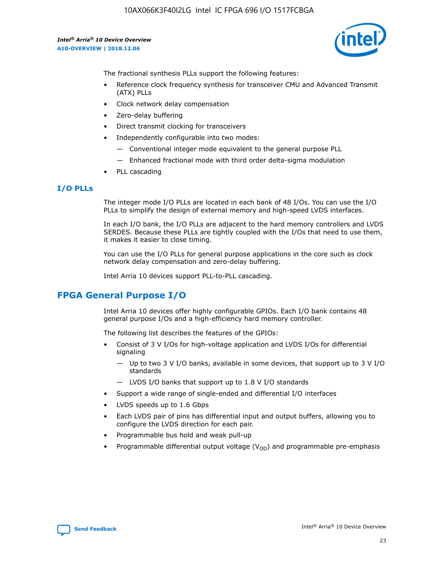

The fractional synthesis PLLs support the following features:

- Reference clock frequency synthesis for transceiver CMU and Advanced Transmit (ATX) PLLs
- Clock network delay compensation
- Zero-delay buffering
- Direct transmit clocking for transceivers
- Independently configurable into two modes:
	- Conventional integer mode equivalent to the general purpose PLL
	- Enhanced fractional mode with third order delta-sigma modulation
- PLL cascading

## **I/O PLLs**

The integer mode I/O PLLs are located in each bank of 48 I/Os. You can use the I/O PLLs to simplify the design of external memory and high-speed LVDS interfaces.

In each I/O bank, the I/O PLLs are adjacent to the hard memory controllers and LVDS SERDES. Because these PLLs are tightly coupled with the I/Os that need to use them, it makes it easier to close timing.

You can use the I/O PLLs for general purpose applications in the core such as clock network delay compensation and zero-delay buffering.

Intel Arria 10 devices support PLL-to-PLL cascading.

# **FPGA General Purpose I/O**

Intel Arria 10 devices offer highly configurable GPIOs. Each I/O bank contains 48 general purpose I/Os and a high-efficiency hard memory controller.

The following list describes the features of the GPIOs:

- Consist of 3 V I/Os for high-voltage application and LVDS I/Os for differential signaling
	- Up to two 3 V I/O banks, available in some devices, that support up to 3 V I/O standards
	- LVDS I/O banks that support up to 1.8 V I/O standards
- Support a wide range of single-ended and differential I/O interfaces
- LVDS speeds up to 1.6 Gbps
- Each LVDS pair of pins has differential input and output buffers, allowing you to configure the LVDS direction for each pair.
- Programmable bus hold and weak pull-up
- Programmable differential output voltage  $(V_{OD})$  and programmable pre-emphasis

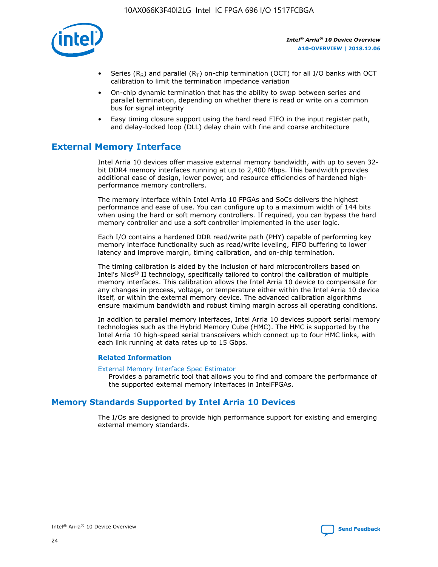

- Series (R<sub>S</sub>) and parallel (R<sub>T</sub>) on-chip termination (OCT) for all I/O banks with OCT calibration to limit the termination impedance variation
- On-chip dynamic termination that has the ability to swap between series and parallel termination, depending on whether there is read or write on a common bus for signal integrity
- Easy timing closure support using the hard read FIFO in the input register path, and delay-locked loop (DLL) delay chain with fine and coarse architecture

# **External Memory Interface**

Intel Arria 10 devices offer massive external memory bandwidth, with up to seven 32 bit DDR4 memory interfaces running at up to 2,400 Mbps. This bandwidth provides additional ease of design, lower power, and resource efficiencies of hardened highperformance memory controllers.

The memory interface within Intel Arria 10 FPGAs and SoCs delivers the highest performance and ease of use. You can configure up to a maximum width of 144 bits when using the hard or soft memory controllers. If required, you can bypass the hard memory controller and use a soft controller implemented in the user logic.

Each I/O contains a hardened DDR read/write path (PHY) capable of performing key memory interface functionality such as read/write leveling, FIFO buffering to lower latency and improve margin, timing calibration, and on-chip termination.

The timing calibration is aided by the inclusion of hard microcontrollers based on Intel's Nios® II technology, specifically tailored to control the calibration of multiple memory interfaces. This calibration allows the Intel Arria 10 device to compensate for any changes in process, voltage, or temperature either within the Intel Arria 10 device itself, or within the external memory device. The advanced calibration algorithms ensure maximum bandwidth and robust timing margin across all operating conditions.

In addition to parallel memory interfaces, Intel Arria 10 devices support serial memory technologies such as the Hybrid Memory Cube (HMC). The HMC is supported by the Intel Arria 10 high-speed serial transceivers which connect up to four HMC links, with each link running at data rates up to 15 Gbps.

#### **Related Information**

#### [External Memory Interface Spec Estimator](http://www.altera.com/technology/memory/estimator/mem-emif-index.html)

Provides a parametric tool that allows you to find and compare the performance of the supported external memory interfaces in IntelFPGAs.

# **Memory Standards Supported by Intel Arria 10 Devices**

The I/Os are designed to provide high performance support for existing and emerging external memory standards.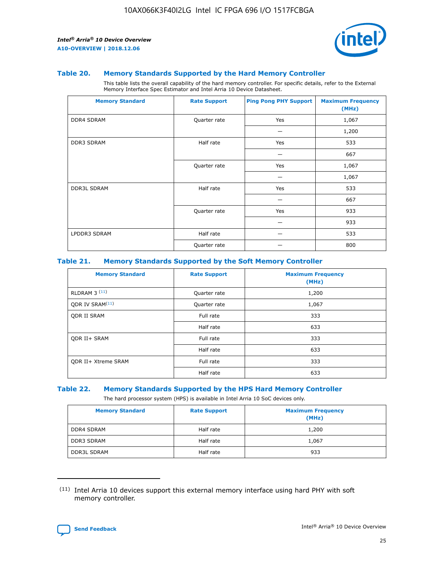

#### **Table 20. Memory Standards Supported by the Hard Memory Controller**

This table lists the overall capability of the hard memory controller. For specific details, refer to the External Memory Interface Spec Estimator and Intel Arria 10 Device Datasheet.

| <b>Memory Standard</b> | <b>Rate Support</b> | <b>Ping Pong PHY Support</b> | <b>Maximum Frequency</b><br>(MHz) |
|------------------------|---------------------|------------------------------|-----------------------------------|
| <b>DDR4 SDRAM</b>      | Quarter rate        | Yes                          | 1,067                             |
|                        |                     |                              | 1,200                             |
| DDR3 SDRAM             | Half rate           | Yes                          | 533                               |
|                        |                     |                              | 667                               |
|                        | Quarter rate        | Yes                          | 1,067                             |
|                        |                     |                              | 1,067                             |
| <b>DDR3L SDRAM</b>     | Half rate           | Yes                          | 533                               |
|                        |                     |                              | 667                               |
|                        | Quarter rate        | Yes                          | 933                               |
|                        |                     |                              | 933                               |
| LPDDR3 SDRAM           | Half rate           |                              | 533                               |
|                        | Quarter rate        |                              | 800                               |

#### **Table 21. Memory Standards Supported by the Soft Memory Controller**

| <b>Memory Standard</b>      | <b>Rate Support</b> | <b>Maximum Frequency</b><br>(MHz) |
|-----------------------------|---------------------|-----------------------------------|
| <b>RLDRAM 3 (11)</b>        | Quarter rate        | 1,200                             |
| ODR IV SRAM <sup>(11)</sup> | Quarter rate        | 1,067                             |
| <b>ODR II SRAM</b>          | Full rate           | 333                               |
|                             | Half rate           | 633                               |
| <b>ODR II+ SRAM</b>         | Full rate           | 333                               |
|                             | Half rate           | 633                               |
| <b>ODR II+ Xtreme SRAM</b>  | Full rate           | 333                               |
|                             | Half rate           | 633                               |

#### **Table 22. Memory Standards Supported by the HPS Hard Memory Controller**

The hard processor system (HPS) is available in Intel Arria 10 SoC devices only.

| <b>Memory Standard</b> | <b>Rate Support</b> | <b>Maximum Frequency</b><br>(MHz) |
|------------------------|---------------------|-----------------------------------|
| <b>DDR4 SDRAM</b>      | Half rate           | 1,200                             |
| <b>DDR3 SDRAM</b>      | Half rate           | 1,067                             |
| <b>DDR3L SDRAM</b>     | Half rate           | 933                               |

<sup>(11)</sup> Intel Arria 10 devices support this external memory interface using hard PHY with soft memory controller.

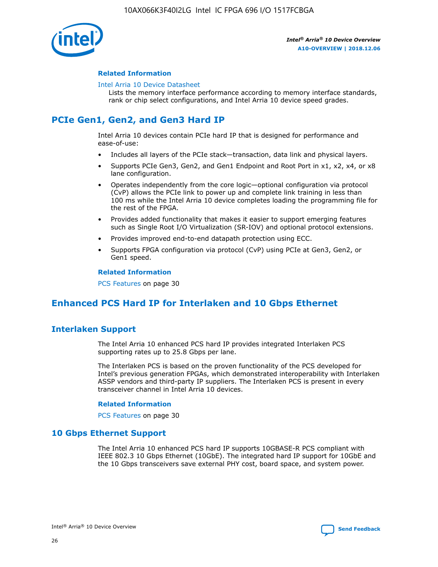

#### **Related Information**

#### [Intel Arria 10 Device Datasheet](https://www.intel.com/content/www/us/en/programmable/documentation/mcn1413182292568.html#mcn1413182153340)

Lists the memory interface performance according to memory interface standards, rank or chip select configurations, and Intel Arria 10 device speed grades.

# **PCIe Gen1, Gen2, and Gen3 Hard IP**

Intel Arria 10 devices contain PCIe hard IP that is designed for performance and ease-of-use:

- Includes all layers of the PCIe stack—transaction, data link and physical layers.
- Supports PCIe Gen3, Gen2, and Gen1 Endpoint and Root Port in x1, x2, x4, or x8 lane configuration.
- Operates independently from the core logic—optional configuration via protocol (CvP) allows the PCIe link to power up and complete link training in less than 100 ms while the Intel Arria 10 device completes loading the programming file for the rest of the FPGA.
- Provides added functionality that makes it easier to support emerging features such as Single Root I/O Virtualization (SR-IOV) and optional protocol extensions.
- Provides improved end-to-end datapath protection using ECC.
- Supports FPGA configuration via protocol (CvP) using PCIe at Gen3, Gen2, or Gen1 speed.

#### **Related Information**

PCS Features on page 30

# **Enhanced PCS Hard IP for Interlaken and 10 Gbps Ethernet**

# **Interlaken Support**

The Intel Arria 10 enhanced PCS hard IP provides integrated Interlaken PCS supporting rates up to 25.8 Gbps per lane.

The Interlaken PCS is based on the proven functionality of the PCS developed for Intel's previous generation FPGAs, which demonstrated interoperability with Interlaken ASSP vendors and third-party IP suppliers. The Interlaken PCS is present in every transceiver channel in Intel Arria 10 devices.

#### **Related Information**

PCS Features on page 30

## **10 Gbps Ethernet Support**

The Intel Arria 10 enhanced PCS hard IP supports 10GBASE-R PCS compliant with IEEE 802.3 10 Gbps Ethernet (10GbE). The integrated hard IP support for 10GbE and the 10 Gbps transceivers save external PHY cost, board space, and system power.

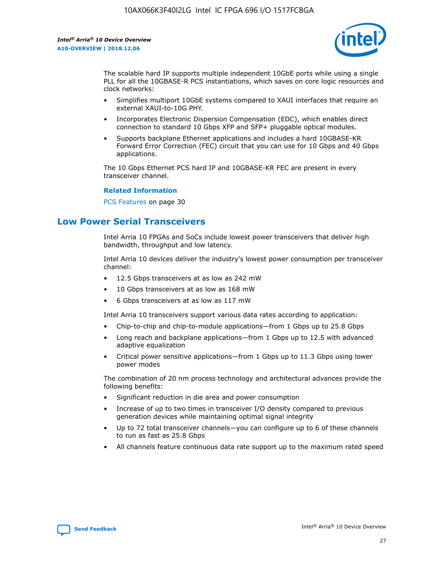

The scalable hard IP supports multiple independent 10GbE ports while using a single PLL for all the 10GBASE-R PCS instantiations, which saves on core logic resources and clock networks:

- Simplifies multiport 10GbE systems compared to XAUI interfaces that require an external XAUI-to-10G PHY.
- Incorporates Electronic Dispersion Compensation (EDC), which enables direct connection to standard 10 Gbps XFP and SFP+ pluggable optical modules.
- Supports backplane Ethernet applications and includes a hard 10GBASE-KR Forward Error Correction (FEC) circuit that you can use for 10 Gbps and 40 Gbps applications.

The 10 Gbps Ethernet PCS hard IP and 10GBASE-KR FEC are present in every transceiver channel.

#### **Related Information**

PCS Features on page 30

# **Low Power Serial Transceivers**

Intel Arria 10 FPGAs and SoCs include lowest power transceivers that deliver high bandwidth, throughput and low latency.

Intel Arria 10 devices deliver the industry's lowest power consumption per transceiver channel:

- 12.5 Gbps transceivers at as low as 242 mW
- 10 Gbps transceivers at as low as 168 mW
- 6 Gbps transceivers at as low as 117 mW

Intel Arria 10 transceivers support various data rates according to application:

- Chip-to-chip and chip-to-module applications—from 1 Gbps up to 25.8 Gbps
- Long reach and backplane applications—from 1 Gbps up to 12.5 with advanced adaptive equalization
- Critical power sensitive applications—from 1 Gbps up to 11.3 Gbps using lower power modes

The combination of 20 nm process technology and architectural advances provide the following benefits:

- Significant reduction in die area and power consumption
- Increase of up to two times in transceiver I/O density compared to previous generation devices while maintaining optimal signal integrity
- Up to 72 total transceiver channels—you can configure up to 6 of these channels to run as fast as 25.8 Gbps
- All channels feature continuous data rate support up to the maximum rated speed

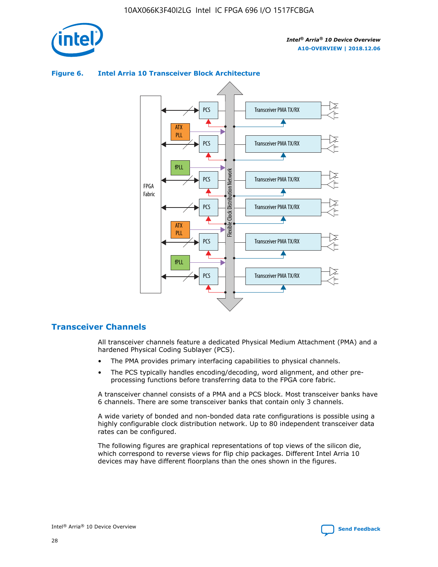

# Transceiver PMA TX/RX PCS ATX PLL Transceiver PMA TX/RX PCS fPLL Network Flexible Clock Distribution Network PCS Transceiver PMA TX/RX FPGA **Clock Distribution** Fabric PCS Transceiver PMA TX/RX ATX Flexible PLL PCS Transceiver PMA TX/RX ▲ fPLL Transceiver PMA TX/RX PCS 4

## **Figure 6. Intel Arria 10 Transceiver Block Architecture**

## **Transceiver Channels**

All transceiver channels feature a dedicated Physical Medium Attachment (PMA) and a hardened Physical Coding Sublayer (PCS).

- The PMA provides primary interfacing capabilities to physical channels.
- The PCS typically handles encoding/decoding, word alignment, and other preprocessing functions before transferring data to the FPGA core fabric.

A transceiver channel consists of a PMA and a PCS block. Most transceiver banks have 6 channels. There are some transceiver banks that contain only 3 channels.

A wide variety of bonded and non-bonded data rate configurations is possible using a highly configurable clock distribution network. Up to 80 independent transceiver data rates can be configured.

The following figures are graphical representations of top views of the silicon die, which correspond to reverse views for flip chip packages. Different Intel Arria 10 devices may have different floorplans than the ones shown in the figures.

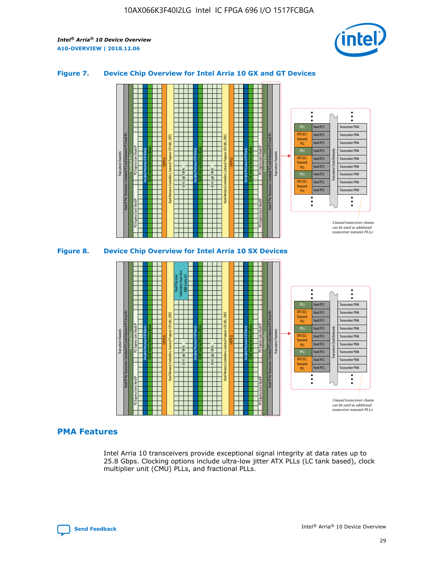

## **Figure 7. Device Chip Overview for Intel Arria 10 GX and GT Devices**



M20K Internal Memory Blocks Core Logic Fabric Transceiver Channels Hard IP Per Transceiver: Standard PCS and Enhanced PCS Hard IPs PCI Express Gen3 Hard IP Fractional PLLs M20K Internal Memory Blocks PCI Express Gen3 Hard IP Variable Precision DSP Blocks I/O PLLs Hard Memory Controllers, General-Purpose I/O Cells, LVDS Hard Processor Subsystem, Dual-Core ARM Cortex A9 M20K Internal Memory Blocks Variable Precision DSP Blocks M20K Internal Memory Blocks Core Logic Fabric I/O PLLs Hard Memory Controllers, General-Purpose I/O Cells, LVDS M20K Internal Memory Blocks Variable Precision DSP Blocks M20K Internal Memory Blocks Transceiver Channels Hard IP Per Transceiver: Standard PCS and Enhanced PCS Hard IPs PCI Express Gen3 Hard IP Fractional PLLs PCI Express Gen3 Hard IP Hard PCS Hard PCS Hard PCS Hard PCS Hard PCS Hard PCS Transceiver PMA Transceiver PMA Transceiver PMA Transceiver PMA Transceiver PMA Transceiver PMA Transceiver Clock Networks fPLL ATX (LC) **Transmit** PLL fPLL ATX (LC) Transmi PLL

#### **PMA Features**

Intel Arria 10 transceivers provide exceptional signal integrity at data rates up to 25.8 Gbps. Clocking options include ultra-low jitter ATX PLLs (LC tank based), clock multiplier unit (CMU) PLLs, and fractional PLLs.

Hard PCS Hard PCS Hard PCS

fPLL ATX (LC) **Transmit** PLL

Transceiver PMA

Transceiver PMA Transceiver PMA

Unused transceiver chann can be used as additional transceiver transmit PLLs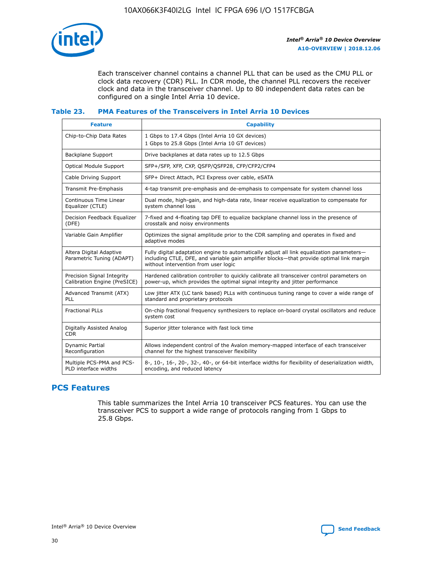

Each transceiver channel contains a channel PLL that can be used as the CMU PLL or clock data recovery (CDR) PLL. In CDR mode, the channel PLL recovers the receiver clock and data in the transceiver channel. Up to 80 independent data rates can be configured on a single Intel Arria 10 device.

# **Table 23. PMA Features of the Transceivers in Intel Arria 10 Devices**

| <b>Feature</b>                                             | <b>Capability</b>                                                                                                                                                                                                             |
|------------------------------------------------------------|-------------------------------------------------------------------------------------------------------------------------------------------------------------------------------------------------------------------------------|
| Chip-to-Chip Data Rates                                    | 1 Gbps to 17.4 Gbps (Intel Arria 10 GX devices)<br>1 Gbps to 25.8 Gbps (Intel Arria 10 GT devices)                                                                                                                            |
| <b>Backplane Support</b>                                   | Drive backplanes at data rates up to 12.5 Gbps                                                                                                                                                                                |
| <b>Optical Module Support</b>                              | SFP+/SFP, XFP, CXP, QSFP/QSFP28, CFP/CFP2/CFP4                                                                                                                                                                                |
| Cable Driving Support                                      | SFP+ Direct Attach, PCI Express over cable, eSATA                                                                                                                                                                             |
| Transmit Pre-Emphasis                                      | 4-tap transmit pre-emphasis and de-emphasis to compensate for system channel loss                                                                                                                                             |
| Continuous Time Linear<br>Equalizer (CTLE)                 | Dual mode, high-gain, and high-data rate, linear receive equalization to compensate for<br>system channel loss                                                                                                                |
| Decision Feedback Equalizer<br>(DFE)                       | 7-fixed and 4-floating tap DFE to equalize backplane channel loss in the presence of<br>crosstalk and noisy environments                                                                                                      |
| Variable Gain Amplifier                                    | Optimizes the signal amplitude prior to the CDR sampling and operates in fixed and<br>adaptive modes                                                                                                                          |
| Altera Digital Adaptive<br>Parametric Tuning (ADAPT)       | Fully digital adaptation engine to automatically adjust all link equalization parameters-<br>including CTLE, DFE, and variable gain amplifier blocks—that provide optimal link margin<br>without intervention from user logic |
| Precision Signal Integrity<br>Calibration Engine (PreSICE) | Hardened calibration controller to quickly calibrate all transceiver control parameters on<br>power-up, which provides the optimal signal integrity and jitter performance                                                    |
| Advanced Transmit (ATX)<br>PLL                             | Low jitter ATX (LC tank based) PLLs with continuous tuning range to cover a wide range of<br>standard and proprietary protocols                                                                                               |
| <b>Fractional PLLs</b>                                     | On-chip fractional frequency synthesizers to replace on-board crystal oscillators and reduce<br>system cost                                                                                                                   |
| Digitally Assisted Analog<br><b>CDR</b>                    | Superior jitter tolerance with fast lock time                                                                                                                                                                                 |
| Dynamic Partial<br>Reconfiguration                         | Allows independent control of the Avalon memory-mapped interface of each transceiver<br>channel for the highest transceiver flexibility                                                                                       |
| Multiple PCS-PMA and PCS-<br>PLD interface widths          | 8-, 10-, 16-, 20-, 32-, 40-, or 64-bit interface widths for flexibility of deserialization width,<br>encoding, and reduced latency                                                                                            |

# **PCS Features**

This table summarizes the Intel Arria 10 transceiver PCS features. You can use the transceiver PCS to support a wide range of protocols ranging from 1 Gbps to 25.8 Gbps.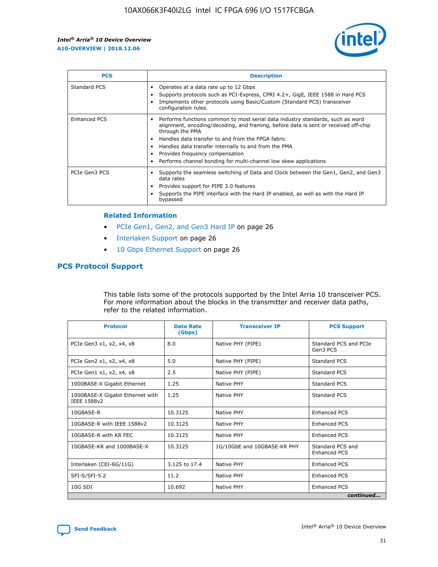

| <b>PCS</b>    | <b>Description</b>                                                                                                                                                                                                                                                                                                                                                                                             |
|---------------|----------------------------------------------------------------------------------------------------------------------------------------------------------------------------------------------------------------------------------------------------------------------------------------------------------------------------------------------------------------------------------------------------------------|
| Standard PCS  | Operates at a data rate up to 12 Gbps<br>Supports protocols such as PCI-Express, CPRI 4.2+, GigE, IEEE 1588 in Hard PCS<br>Implements other protocols using Basic/Custom (Standard PCS) transceiver<br>configuration rules.                                                                                                                                                                                    |
| Enhanced PCS  | Performs functions common to most serial data industry standards, such as word<br>alignment, encoding/decoding, and framing, before data is sent or received off-chip<br>through the PMA<br>• Handles data transfer to and from the FPGA fabric<br>Handles data transfer internally to and from the PMA<br>Provides frequency compensation<br>Performs channel bonding for multi-channel low skew applications |
| PCIe Gen3 PCS | Supports the seamless switching of Data and Clock between the Gen1, Gen2, and Gen3<br>data rates<br>Provides support for PIPE 3.0 features<br>Supports the PIPE interface with the Hard IP enabled, as well as with the Hard IP<br>bypassed                                                                                                                                                                    |

#### **Related Information**

- PCIe Gen1, Gen2, and Gen3 Hard IP on page 26
- Interlaken Support on page 26
- 10 Gbps Ethernet Support on page 26

# **PCS Protocol Support**

This table lists some of the protocols supported by the Intel Arria 10 transceiver PCS. For more information about the blocks in the transmitter and receiver data paths, refer to the related information.

| <b>Protocol</b>                                 | <b>Data Rate</b><br>(Gbps) | <b>Transceiver IP</b>       | <b>PCS Support</b>                      |
|-------------------------------------------------|----------------------------|-----------------------------|-----------------------------------------|
| PCIe Gen3 x1, x2, x4, x8                        | 8.0                        | Native PHY (PIPE)           | Standard PCS and PCIe<br>Gen3 PCS       |
| PCIe Gen2 x1, x2, x4, x8                        | 5.0                        | Native PHY (PIPE)           | <b>Standard PCS</b>                     |
| PCIe Gen1 x1, x2, x4, x8                        | 2.5                        | Native PHY (PIPE)           | Standard PCS                            |
| 1000BASE-X Gigabit Ethernet                     | 1.25                       | Native PHY                  | <b>Standard PCS</b>                     |
| 1000BASE-X Gigabit Ethernet with<br>IEEE 1588v2 | 1.25                       | Native PHY                  | Standard PCS                            |
| 10GBASE-R                                       | 10.3125                    | Native PHY                  | <b>Enhanced PCS</b>                     |
| 10GBASE-R with IEEE 1588v2                      | 10.3125                    | Native PHY                  | <b>Enhanced PCS</b>                     |
| 10GBASE-R with KR FEC                           | 10.3125                    | Native PHY                  | <b>Enhanced PCS</b>                     |
| 10GBASE-KR and 1000BASE-X                       | 10.3125                    | 1G/10GbE and 10GBASE-KR PHY | Standard PCS and<br><b>Enhanced PCS</b> |
| Interlaken (CEI-6G/11G)                         | 3.125 to 17.4              | Native PHY                  | <b>Enhanced PCS</b>                     |
| SFI-S/SFI-5.2                                   | 11.2                       | Native PHY                  | <b>Enhanced PCS</b>                     |
| $10G$ SDI                                       | 10.692                     | Native PHY                  | <b>Enhanced PCS</b>                     |
|                                                 |                            |                             | continued                               |

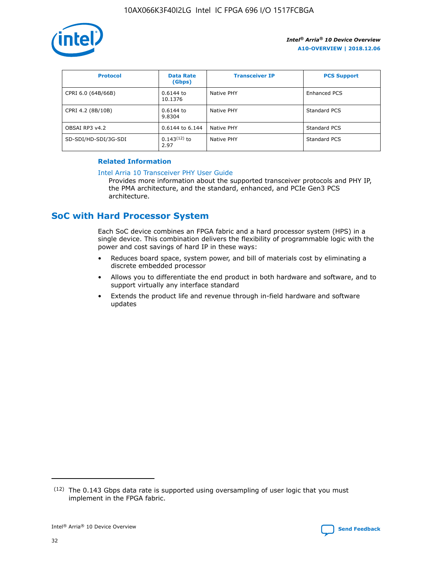

| <b>Protocol</b>      | <b>Data Rate</b><br>(Gbps) | <b>Transceiver IP</b> | <b>PCS Support</b> |
|----------------------|----------------------------|-----------------------|--------------------|
| CPRI 6.0 (64B/66B)   | 0.6144 to<br>10.1376       | Native PHY            | Enhanced PCS       |
| CPRI 4.2 (8B/10B)    | 0.6144 to<br>9.8304        | Native PHY            | Standard PCS       |
| OBSAI RP3 v4.2       | 0.6144 to 6.144            | Native PHY            | Standard PCS       |
| SD-SDI/HD-SDI/3G-SDI | $0.143(12)$ to<br>2.97     | Native PHY            | Standard PCS       |

## **Related Information**

#### [Intel Arria 10 Transceiver PHY User Guide](https://www.intel.com/content/www/us/en/programmable/documentation/nik1398707230472.html#nik1398707091164)

Provides more information about the supported transceiver protocols and PHY IP, the PMA architecture, and the standard, enhanced, and PCIe Gen3 PCS architecture.

# **SoC with Hard Processor System**

Each SoC device combines an FPGA fabric and a hard processor system (HPS) in a single device. This combination delivers the flexibility of programmable logic with the power and cost savings of hard IP in these ways:

- Reduces board space, system power, and bill of materials cost by eliminating a discrete embedded processor
- Allows you to differentiate the end product in both hardware and software, and to support virtually any interface standard
- Extends the product life and revenue through in-field hardware and software updates

<sup>(12)</sup> The 0.143 Gbps data rate is supported using oversampling of user logic that you must implement in the FPGA fabric.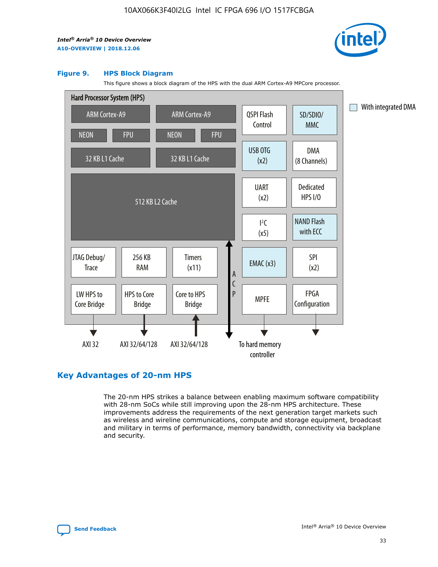

#### **Figure 9. HPS Block Diagram**

This figure shows a block diagram of the HPS with the dual ARM Cortex-A9 MPCore processor.



# **Key Advantages of 20-nm HPS**

The 20-nm HPS strikes a balance between enabling maximum software compatibility with 28-nm SoCs while still improving upon the 28-nm HPS architecture. These improvements address the requirements of the next generation target markets such as wireless and wireline communications, compute and storage equipment, broadcast and military in terms of performance, memory bandwidth, connectivity via backplane and security.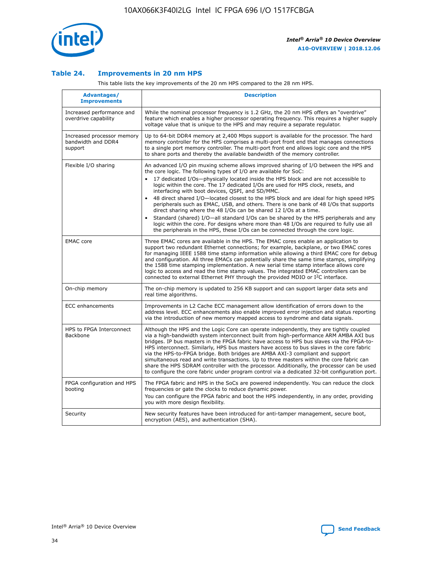

## **Table 24. Improvements in 20 nm HPS**

This table lists the key improvements of the 20 nm HPS compared to the 28 nm HPS.

| Advantages/<br><b>Improvements</b>                          | <b>Description</b>                                                                                                                                                                                                                                                                                                                                                                                                                                                                                                                                                                                                                                                                                                                                                                                                                                                                                                                   |
|-------------------------------------------------------------|--------------------------------------------------------------------------------------------------------------------------------------------------------------------------------------------------------------------------------------------------------------------------------------------------------------------------------------------------------------------------------------------------------------------------------------------------------------------------------------------------------------------------------------------------------------------------------------------------------------------------------------------------------------------------------------------------------------------------------------------------------------------------------------------------------------------------------------------------------------------------------------------------------------------------------------|
| Increased performance and<br>overdrive capability           | While the nominal processor frequency is 1.2 GHz, the 20 nm HPS offers an "overdrive"<br>feature which enables a higher processor operating frequency. This requires a higher supply<br>voltage value that is unique to the HPS and may require a separate requlator.                                                                                                                                                                                                                                                                                                                                                                                                                                                                                                                                                                                                                                                                |
| Increased processor memory<br>bandwidth and DDR4<br>support | Up to 64-bit DDR4 memory at 2,400 Mbps support is available for the processor. The hard<br>memory controller for the HPS comprises a multi-port front end that manages connections<br>to a single port memory controller. The multi-port front end allows logic core and the HPS<br>to share ports and thereby the available bandwidth of the memory controller.                                                                                                                                                                                                                                                                                                                                                                                                                                                                                                                                                                     |
| Flexible I/O sharing                                        | An advanced I/O pin muxing scheme allows improved sharing of I/O between the HPS and<br>the core logic. The following types of I/O are available for SoC:<br>17 dedicated I/Os-physically located inside the HPS block and are not accessible to<br>logic within the core. The 17 dedicated I/Os are used for HPS clock, resets, and<br>interfacing with boot devices, QSPI, and SD/MMC.<br>48 direct shared I/O-located closest to the HPS block and are ideal for high speed HPS<br>peripherals such as EMAC, USB, and others. There is one bank of 48 I/Os that supports<br>direct sharing where the 48 I/Os can be shared 12 I/Os at a time.<br>Standard (shared) I/O-all standard I/Os can be shared by the HPS peripherals and any<br>$\bullet$<br>logic within the core. For designs where more than 48 I/Os are required to fully use all<br>the peripherals in the HPS, these I/Os can be connected through the core logic. |
| <b>EMAC</b> core                                            | Three EMAC cores are available in the HPS. The EMAC cores enable an application to<br>support two redundant Ethernet connections; for example, backplane, or two EMAC cores<br>for managing IEEE 1588 time stamp information while allowing a third EMAC core for debug<br>and configuration. All three EMACs can potentially share the same time stamps, simplifying<br>the 1588 time stamping implementation. A new serial time stamp interface allows core<br>logic to access and read the time stamp values. The integrated EMAC controllers can be<br>connected to external Ethernet PHY through the provided MDIO or I <sup>2</sup> C interface.                                                                                                                                                                                                                                                                               |
| On-chip memory                                              | The on-chip memory is updated to 256 KB support and can support larger data sets and<br>real time algorithms.                                                                                                                                                                                                                                                                                                                                                                                                                                                                                                                                                                                                                                                                                                                                                                                                                        |
| <b>ECC</b> enhancements                                     | Improvements in L2 Cache ECC management allow identification of errors down to the<br>address level. ECC enhancements also enable improved error injection and status reporting<br>via the introduction of new memory mapped access to syndrome and data signals.                                                                                                                                                                                                                                                                                                                                                                                                                                                                                                                                                                                                                                                                    |
| HPS to FPGA Interconnect<br>Backbone                        | Although the HPS and the Logic Core can operate independently, they are tightly coupled<br>via a high-bandwidth system interconnect built from high-performance ARM AMBA AXI bus<br>bridges. IP bus masters in the FPGA fabric have access to HPS bus slaves via the FPGA-to-<br>HPS interconnect. Similarly, HPS bus masters have access to bus slaves in the core fabric<br>via the HPS-to-FPGA bridge. Both bridges are AMBA AXI-3 compliant and support<br>simultaneous read and write transactions. Up to three masters within the core fabric can<br>share the HPS SDRAM controller with the processor. Additionally, the processor can be used<br>to configure the core fabric under program control via a dedicated 32-bit configuration port.                                                                                                                                                                               |
| FPGA configuration and HPS<br>booting                       | The FPGA fabric and HPS in the SoCs are powered independently. You can reduce the clock<br>frequencies or gate the clocks to reduce dynamic power.<br>You can configure the FPGA fabric and boot the HPS independently, in any order, providing<br>you with more design flexibility.                                                                                                                                                                                                                                                                                                                                                                                                                                                                                                                                                                                                                                                 |
| Security                                                    | New security features have been introduced for anti-tamper management, secure boot,<br>encryption (AES), and authentication (SHA).                                                                                                                                                                                                                                                                                                                                                                                                                                                                                                                                                                                                                                                                                                                                                                                                   |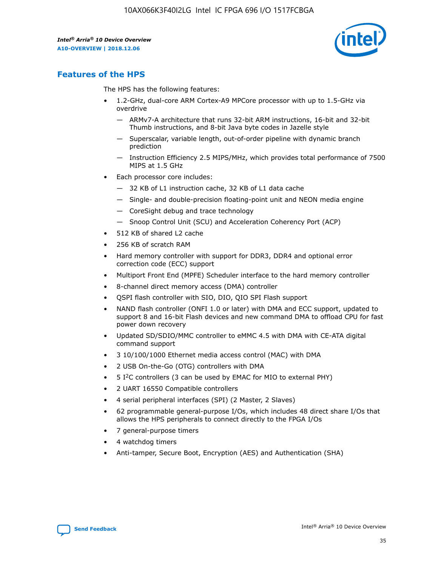

# **Features of the HPS**

The HPS has the following features:

- 1.2-GHz, dual-core ARM Cortex-A9 MPCore processor with up to 1.5-GHz via overdrive
	- ARMv7-A architecture that runs 32-bit ARM instructions, 16-bit and 32-bit Thumb instructions, and 8-bit Java byte codes in Jazelle style
	- Superscalar, variable length, out-of-order pipeline with dynamic branch prediction
	- Instruction Efficiency 2.5 MIPS/MHz, which provides total performance of 7500 MIPS at 1.5 GHz
- Each processor core includes:
	- 32 KB of L1 instruction cache, 32 KB of L1 data cache
	- Single- and double-precision floating-point unit and NEON media engine
	- CoreSight debug and trace technology
	- Snoop Control Unit (SCU) and Acceleration Coherency Port (ACP)
- 512 KB of shared L2 cache
- 256 KB of scratch RAM
- Hard memory controller with support for DDR3, DDR4 and optional error correction code (ECC) support
- Multiport Front End (MPFE) Scheduler interface to the hard memory controller
- 8-channel direct memory access (DMA) controller
- QSPI flash controller with SIO, DIO, QIO SPI Flash support
- NAND flash controller (ONFI 1.0 or later) with DMA and ECC support, updated to support 8 and 16-bit Flash devices and new command DMA to offload CPU for fast power down recovery
- Updated SD/SDIO/MMC controller to eMMC 4.5 with DMA with CE-ATA digital command support
- 3 10/100/1000 Ethernet media access control (MAC) with DMA
- 2 USB On-the-Go (OTG) controllers with DMA
- $\bullet$  5 I<sup>2</sup>C controllers (3 can be used by EMAC for MIO to external PHY)
- 2 UART 16550 Compatible controllers
- 4 serial peripheral interfaces (SPI) (2 Master, 2 Slaves)
- 62 programmable general-purpose I/Os, which includes 48 direct share I/Os that allows the HPS peripherals to connect directly to the FPGA I/Os
- 7 general-purpose timers
- 4 watchdog timers
- Anti-tamper, Secure Boot, Encryption (AES) and Authentication (SHA)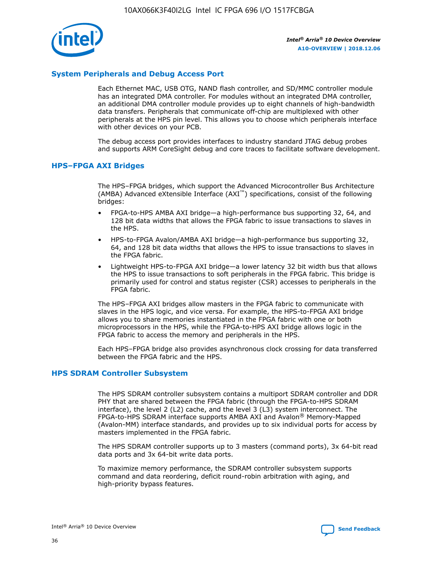

## **System Peripherals and Debug Access Port**

Each Ethernet MAC, USB OTG, NAND flash controller, and SD/MMC controller module has an integrated DMA controller. For modules without an integrated DMA controller, an additional DMA controller module provides up to eight channels of high-bandwidth data transfers. Peripherals that communicate off-chip are multiplexed with other peripherals at the HPS pin level. This allows you to choose which peripherals interface with other devices on your PCB.

The debug access port provides interfaces to industry standard JTAG debug probes and supports ARM CoreSight debug and core traces to facilitate software development.

## **HPS–FPGA AXI Bridges**

The HPS–FPGA bridges, which support the Advanced Microcontroller Bus Architecture (AMBA) Advanced eXtensible Interface (AXI™) specifications, consist of the following bridges:

- FPGA-to-HPS AMBA AXI bridge—a high-performance bus supporting 32, 64, and 128 bit data widths that allows the FPGA fabric to issue transactions to slaves in the HPS.
- HPS-to-FPGA Avalon/AMBA AXI bridge—a high-performance bus supporting 32, 64, and 128 bit data widths that allows the HPS to issue transactions to slaves in the FPGA fabric.
- Lightweight HPS-to-FPGA AXI bridge—a lower latency 32 bit width bus that allows the HPS to issue transactions to soft peripherals in the FPGA fabric. This bridge is primarily used for control and status register (CSR) accesses to peripherals in the FPGA fabric.

The HPS–FPGA AXI bridges allow masters in the FPGA fabric to communicate with slaves in the HPS logic, and vice versa. For example, the HPS-to-FPGA AXI bridge allows you to share memories instantiated in the FPGA fabric with one or both microprocessors in the HPS, while the FPGA-to-HPS AXI bridge allows logic in the FPGA fabric to access the memory and peripherals in the HPS.

Each HPS–FPGA bridge also provides asynchronous clock crossing for data transferred between the FPGA fabric and the HPS.

#### **HPS SDRAM Controller Subsystem**

The HPS SDRAM controller subsystem contains a multiport SDRAM controller and DDR PHY that are shared between the FPGA fabric (through the FPGA-to-HPS SDRAM interface), the level 2 (L2) cache, and the level 3 (L3) system interconnect. The FPGA-to-HPS SDRAM interface supports AMBA AXI and Avalon® Memory-Mapped (Avalon-MM) interface standards, and provides up to six individual ports for access by masters implemented in the FPGA fabric.

The HPS SDRAM controller supports up to 3 masters (command ports), 3x 64-bit read data ports and 3x 64-bit write data ports.

To maximize memory performance, the SDRAM controller subsystem supports command and data reordering, deficit round-robin arbitration with aging, and high-priority bypass features.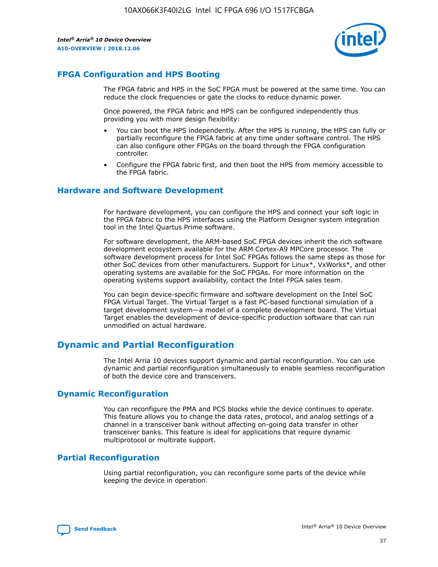

# **FPGA Configuration and HPS Booting**

The FPGA fabric and HPS in the SoC FPGA must be powered at the same time. You can reduce the clock frequencies or gate the clocks to reduce dynamic power.

Once powered, the FPGA fabric and HPS can be configured independently thus providing you with more design flexibility:

- You can boot the HPS independently. After the HPS is running, the HPS can fully or partially reconfigure the FPGA fabric at any time under software control. The HPS can also configure other FPGAs on the board through the FPGA configuration controller.
- Configure the FPGA fabric first, and then boot the HPS from memory accessible to the FPGA fabric.

## **Hardware and Software Development**

For hardware development, you can configure the HPS and connect your soft logic in the FPGA fabric to the HPS interfaces using the Platform Designer system integration tool in the Intel Quartus Prime software.

For software development, the ARM-based SoC FPGA devices inherit the rich software development ecosystem available for the ARM Cortex-A9 MPCore processor. The software development process for Intel SoC FPGAs follows the same steps as those for other SoC devices from other manufacturers. Support for Linux\*, VxWorks\*, and other operating systems are available for the SoC FPGAs. For more information on the operating systems support availability, contact the Intel FPGA sales team.

You can begin device-specific firmware and software development on the Intel SoC FPGA Virtual Target. The Virtual Target is a fast PC-based functional simulation of a target development system—a model of a complete development board. The Virtual Target enables the development of device-specific production software that can run unmodified on actual hardware.

# **Dynamic and Partial Reconfiguration**

The Intel Arria 10 devices support dynamic and partial reconfiguration. You can use dynamic and partial reconfiguration simultaneously to enable seamless reconfiguration of both the device core and transceivers.

# **Dynamic Reconfiguration**

You can reconfigure the PMA and PCS blocks while the device continues to operate. This feature allows you to change the data rates, protocol, and analog settings of a channel in a transceiver bank without affecting on-going data transfer in other transceiver banks. This feature is ideal for applications that require dynamic multiprotocol or multirate support.

# **Partial Reconfiguration**

Using partial reconfiguration, you can reconfigure some parts of the device while keeping the device in operation.

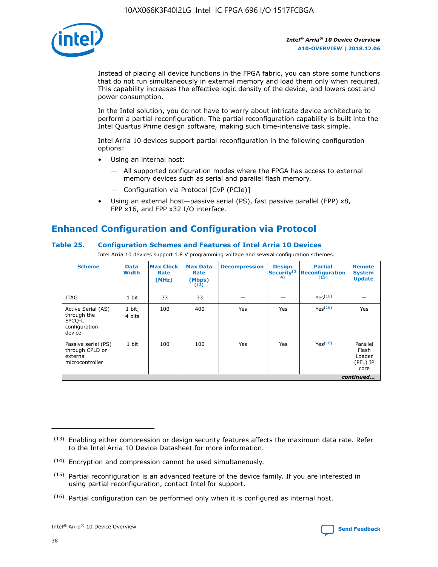

Instead of placing all device functions in the FPGA fabric, you can store some functions that do not run simultaneously in external memory and load them only when required. This capability increases the effective logic density of the device, and lowers cost and power consumption.

In the Intel solution, you do not have to worry about intricate device architecture to perform a partial reconfiguration. The partial reconfiguration capability is built into the Intel Quartus Prime design software, making such time-intensive task simple.

Intel Arria 10 devices support partial reconfiguration in the following configuration options:

- Using an internal host:
	- All supported configuration modes where the FPGA has access to external memory devices such as serial and parallel flash memory.
	- Configuration via Protocol [CvP (PCIe)]
- Using an external host—passive serial (PS), fast passive parallel (FPP) x8, FPP x16, and FPP x32 I/O interface.

# **Enhanced Configuration and Configuration via Protocol**

## **Table 25. Configuration Schemes and Features of Intel Arria 10 Devices**

Intel Arria 10 devices support 1.8 V programming voltage and several configuration schemes.

| <b>Scheme</b>                                                          | <b>Data</b><br><b>Width</b> | <b>Max Clock</b><br>Rate<br>(MHz) | <b>Max Data</b><br>Rate<br>(Mbps)<br>(13) | <b>Decompression</b> | <b>Design</b><br>Security <sup>(1</sup><br>4) | <b>Partial</b><br>Reconfiguration<br>(15) | <b>Remote</b><br><b>System</b><br><b>Update</b> |
|------------------------------------------------------------------------|-----------------------------|-----------------------------------|-------------------------------------------|----------------------|-----------------------------------------------|-------------------------------------------|-------------------------------------------------|
| <b>JTAG</b>                                                            | 1 bit                       | 33                                | 33                                        |                      |                                               | Yes(16)                                   |                                                 |
| Active Serial (AS)<br>through the<br>EPCO-L<br>configuration<br>device | 1 bit,<br>4 bits            | 100                               | 400                                       | Yes                  | Yes                                           | Yes(16)                                   | Yes                                             |
| Passive serial (PS)<br>through CPLD or<br>external<br>microcontroller  | 1 bit                       | 100                               | 100                                       | Yes                  | Yes                                           | Yes <sup>(16)</sup>                       | Parallel<br>Flash<br>Loader<br>(PFL) IP<br>core |
|                                                                        |                             |                                   |                                           |                      |                                               |                                           | continued                                       |

<sup>(13)</sup> Enabling either compression or design security features affects the maximum data rate. Refer to the Intel Arria 10 Device Datasheet for more information.

<sup>(14)</sup> Encryption and compression cannot be used simultaneously.

 $(15)$  Partial reconfiguration is an advanced feature of the device family. If you are interested in using partial reconfiguration, contact Intel for support.

 $(16)$  Partial configuration can be performed only when it is configured as internal host.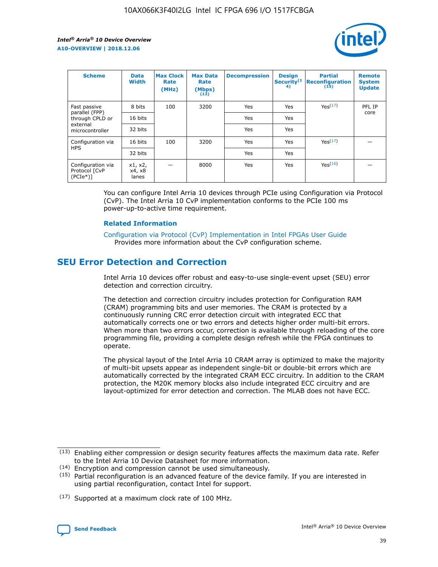

| <b>Scheme</b>                                    | <b>Data</b><br><b>Width</b> | <b>Max Clock</b><br>Rate<br>(MHz) | <b>Max Data</b><br>Rate<br>(Mbps)<br>(13) | <b>Decompression</b> | <b>Design</b><br>Security <sup>(1</sup><br>4) | <b>Partial</b><br><b>Reconfiguration</b><br>(15) | <b>Remote</b><br><b>System</b><br><b>Update</b> |
|--------------------------------------------------|-----------------------------|-----------------------------------|-------------------------------------------|----------------------|-----------------------------------------------|--------------------------------------------------|-------------------------------------------------|
| Fast passive                                     | 8 bits                      | 100                               | 3200                                      | Yes                  | Yes                                           | Yes(17)                                          | PFL IP                                          |
| parallel (FPP)<br>through CPLD or                | 16 bits                     |                                   |                                           | Yes                  | Yes                                           |                                                  | core                                            |
| external<br>microcontroller                      | 32 bits                     |                                   |                                           | Yes                  | Yes                                           |                                                  |                                                 |
| Configuration via                                | 16 bits                     | 100                               | 3200                                      | Yes                  | Yes                                           | Yes <sup>(17)</sup>                              |                                                 |
| <b>HPS</b>                                       | 32 bits                     |                                   |                                           | Yes                  | Yes                                           |                                                  |                                                 |
| Configuration via<br>Protocol [CvP<br>$(PCIe^*)$ | x1, x2,<br>x4, x8<br>lanes  |                                   | 8000                                      | Yes                  | Yes                                           | Yes(16)                                          |                                                 |

You can configure Intel Arria 10 devices through PCIe using Configuration via Protocol (CvP). The Intel Arria 10 CvP implementation conforms to the PCIe 100 ms power-up-to-active time requirement.

#### **Related Information**

[Configuration via Protocol \(CvP\) Implementation in Intel FPGAs User Guide](https://www.intel.com/content/www/us/en/programmable/documentation/dsu1441819344145.html#dsu1442269728522) Provides more information about the CvP configuration scheme.

# **SEU Error Detection and Correction**

Intel Arria 10 devices offer robust and easy-to-use single-event upset (SEU) error detection and correction circuitry.

The detection and correction circuitry includes protection for Configuration RAM (CRAM) programming bits and user memories. The CRAM is protected by a continuously running CRC error detection circuit with integrated ECC that automatically corrects one or two errors and detects higher order multi-bit errors. When more than two errors occur, correction is available through reloading of the core programming file, providing a complete design refresh while the FPGA continues to operate.

The physical layout of the Intel Arria 10 CRAM array is optimized to make the majority of multi-bit upsets appear as independent single-bit or double-bit errors which are automatically corrected by the integrated CRAM ECC circuitry. In addition to the CRAM protection, the M20K memory blocks also include integrated ECC circuitry and are layout-optimized for error detection and correction. The MLAB does not have ECC.

(14) Encryption and compression cannot be used simultaneously.

<sup>(17)</sup> Supported at a maximum clock rate of 100 MHz.



 $(13)$  Enabling either compression or design security features affects the maximum data rate. Refer to the Intel Arria 10 Device Datasheet for more information.

 $(15)$  Partial reconfiguration is an advanced feature of the device family. If you are interested in using partial reconfiguration, contact Intel for support.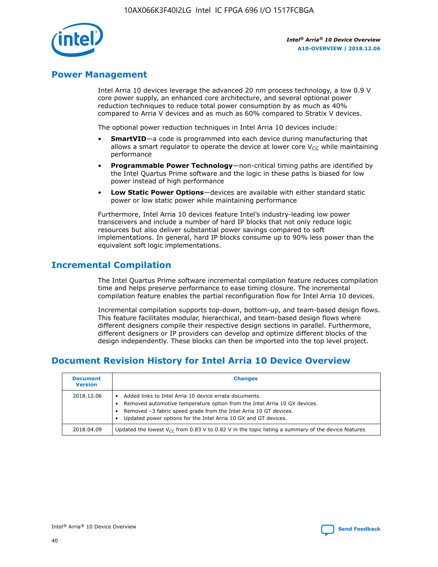

# **Power Management**

Intel Arria 10 devices leverage the advanced 20 nm process technology, a low 0.9 V core power supply, an enhanced core architecture, and several optional power reduction techniques to reduce total power consumption by as much as 40% compared to Arria V devices and as much as 60% compared to Stratix V devices.

The optional power reduction techniques in Intel Arria 10 devices include:

- **SmartVID**—a code is programmed into each device during manufacturing that allows a smart regulator to operate the device at lower core  $V_{CC}$  while maintaining performance
- **Programmable Power Technology**—non-critical timing paths are identified by the Intel Quartus Prime software and the logic in these paths is biased for low power instead of high performance
- **Low Static Power Options**—devices are available with either standard static power or low static power while maintaining performance

Furthermore, Intel Arria 10 devices feature Intel's industry-leading low power transceivers and include a number of hard IP blocks that not only reduce logic resources but also deliver substantial power savings compared to soft implementations. In general, hard IP blocks consume up to 90% less power than the equivalent soft logic implementations.

# **Incremental Compilation**

The Intel Quartus Prime software incremental compilation feature reduces compilation time and helps preserve performance to ease timing closure. The incremental compilation feature enables the partial reconfiguration flow for Intel Arria 10 devices.

Incremental compilation supports top-down, bottom-up, and team-based design flows. This feature facilitates modular, hierarchical, and team-based design flows where different designers compile their respective design sections in parallel. Furthermore, different designers or IP providers can develop and optimize different blocks of the design independently. These blocks can then be imported into the top level project.

# **Document Revision History for Intel Arria 10 Device Overview**

| <b>Document</b><br><b>Version</b> | <b>Changes</b>                                                                                                                                                                                                                                                              |
|-----------------------------------|-----------------------------------------------------------------------------------------------------------------------------------------------------------------------------------------------------------------------------------------------------------------------------|
| 2018.12.06                        | Added links to Intel Arria 10 device errata documents.<br>Removed automotive temperature option from the Intel Arria 10 GX devices.<br>Removed -3 fabric speed grade from the Intel Arria 10 GT devices.<br>Updated power options for the Intel Arria 10 GX and GT devices. |
| 2018.04.09                        | Updated the lowest $V_{CC}$ from 0.83 V to 0.82 V in the topic listing a summary of the device features.                                                                                                                                                                    |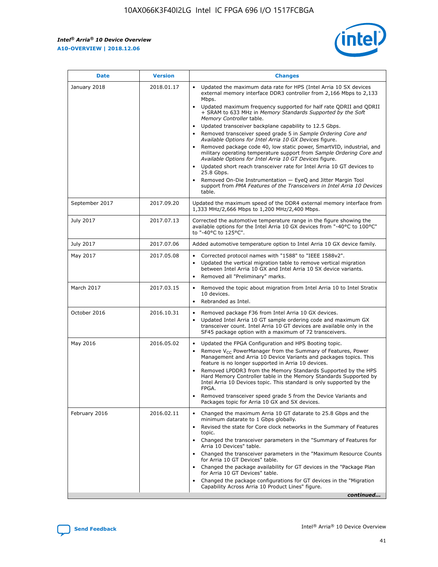*Intel® Arria® 10 Device Overview* **A10-OVERVIEW | 2018.12.06**



| <b>Date</b>    | <b>Version</b> | <b>Changes</b>                                                                                                                                                                                                                                                                                                                                                                                                                                                                                                                                                                                                                                                                                                                                                                                                                                                                                                                                                            |
|----------------|----------------|---------------------------------------------------------------------------------------------------------------------------------------------------------------------------------------------------------------------------------------------------------------------------------------------------------------------------------------------------------------------------------------------------------------------------------------------------------------------------------------------------------------------------------------------------------------------------------------------------------------------------------------------------------------------------------------------------------------------------------------------------------------------------------------------------------------------------------------------------------------------------------------------------------------------------------------------------------------------------|
| January 2018   | 2018.01.17     | Updated the maximum data rate for HPS (Intel Arria 10 SX devices<br>external memory interface DDR3 controller from 2,166 Mbps to 2,133<br>Mbps.<br>Updated maximum frequency supported for half rate QDRII and QDRII<br>+ SRAM to 633 MHz in Memory Standards Supported by the Soft<br>Memory Controller table.<br>Updated transceiver backplane capability to 12.5 Gbps.<br>$\bullet$<br>Removed transceiver speed grade 5 in Sample Ordering Core and<br>Available Options for Intel Arria 10 GX Devices figure.<br>Removed package code 40, low static power, SmartVID, industrial, and<br>military operating temperature support from Sample Ordering Core and<br>Available Options for Intel Arria 10 GT Devices figure.<br>Updated short reach transceiver rate for Intel Arria 10 GT devices to<br>25.8 Gbps.<br>Removed On-Die Instrumentation - EyeQ and Jitter Margin Tool<br>support from PMA Features of the Transceivers in Intel Arria 10 Devices<br>table. |
| September 2017 | 2017.09.20     | Updated the maximum speed of the DDR4 external memory interface from<br>1,333 MHz/2,666 Mbps to 1,200 MHz/2,400 Mbps.                                                                                                                                                                                                                                                                                                                                                                                                                                                                                                                                                                                                                                                                                                                                                                                                                                                     |
| July 2017      | 2017.07.13     | Corrected the automotive temperature range in the figure showing the<br>available options for the Intel Arria 10 GX devices from "-40°C to 100°C"<br>to "-40°C to 125°C".                                                                                                                                                                                                                                                                                                                                                                                                                                                                                                                                                                                                                                                                                                                                                                                                 |
| July 2017      | 2017.07.06     | Added automotive temperature option to Intel Arria 10 GX device family.                                                                                                                                                                                                                                                                                                                                                                                                                                                                                                                                                                                                                                                                                                                                                                                                                                                                                                   |
| May 2017       | 2017.05.08     | Corrected protocol names with "1588" to "IEEE 1588v2".<br>$\bullet$<br>Updated the vertical migration table to remove vertical migration<br>$\bullet$<br>between Intel Arria 10 GX and Intel Arria 10 SX device variants.<br>Removed all "Preliminary" marks.<br>$\bullet$                                                                                                                                                                                                                                                                                                                                                                                                                                                                                                                                                                                                                                                                                                |
| March 2017     | 2017.03.15     | Removed the topic about migration from Intel Arria 10 to Intel Stratix<br>10 devices.<br>Rebranded as Intel.<br>$\bullet$                                                                                                                                                                                                                                                                                                                                                                                                                                                                                                                                                                                                                                                                                                                                                                                                                                                 |
| October 2016   | 2016.10.31     | Removed package F36 from Intel Arria 10 GX devices.<br>Updated Intel Arria 10 GT sample ordering code and maximum GX<br>$\bullet$<br>transceiver count. Intel Arria 10 GT devices are available only in the<br>SF45 package option with a maximum of 72 transceivers.                                                                                                                                                                                                                                                                                                                                                                                                                                                                                                                                                                                                                                                                                                     |
| May 2016       | 2016.05.02     | Updated the FPGA Configuration and HPS Booting topic.<br>$\bullet$<br>Remove V <sub>CC</sub> PowerManager from the Summary of Features, Power<br>Management and Arria 10 Device Variants and packages topics. This<br>feature is no longer supported in Arria 10 devices.<br>Removed LPDDR3 from the Memory Standards Supported by the HPS<br>Hard Memory Controller table in the Memory Standards Supported by<br>Intel Arria 10 Devices topic. This standard is only supported by the<br>FPGA.<br>Removed transceiver speed grade 5 from the Device Variants and<br>Packages topic for Arria 10 GX and SX devices.                                                                                                                                                                                                                                                                                                                                                      |
| February 2016  | 2016.02.11     | Changed the maximum Arria 10 GT datarate to 25.8 Gbps and the<br>minimum datarate to 1 Gbps globally.<br>Revised the state for Core clock networks in the Summary of Features<br>$\bullet$<br>topic.<br>Changed the transceiver parameters in the "Summary of Features for<br>$\bullet$<br>Arria 10 Devices" table.<br>• Changed the transceiver parameters in the "Maximum Resource Counts<br>for Arria 10 GT Devices" table.<br>Changed the package availability for GT devices in the "Package Plan<br>for Arria 10 GT Devices" table.<br>Changed the package configurations for GT devices in the "Migration"<br>Capability Across Arria 10 Product Lines" figure.<br>continued                                                                                                                                                                                                                                                                                       |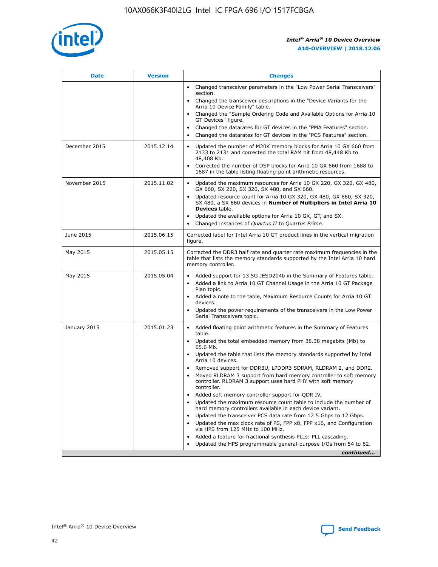

| <b>Date</b>   | <b>Version</b> | <b>Changes</b>                                                                                                                                                                   |
|---------------|----------------|----------------------------------------------------------------------------------------------------------------------------------------------------------------------------------|
|               |                | • Changed transceiver parameters in the "Low Power Serial Transceivers"<br>section.                                                                                              |
|               |                | • Changed the transceiver descriptions in the "Device Variants for the<br>Arria 10 Device Family" table.                                                                         |
|               |                | Changed the "Sample Ordering Code and Available Options for Arria 10<br>GT Devices" figure.                                                                                      |
|               |                | Changed the datarates for GT devices in the "PMA Features" section.                                                                                                              |
|               |                | Changed the datarates for GT devices in the "PCS Features" section.<br>$\bullet$                                                                                                 |
| December 2015 | 2015.12.14     | Updated the number of M20K memory blocks for Arria 10 GX 660 from<br>$\bullet$<br>2133 to 2131 and corrected the total RAM bit from 48,448 Kb to<br>48,408 Kb.                   |
|               |                | Corrected the number of DSP blocks for Arria 10 GX 660 from 1688 to<br>$\bullet$<br>1687 in the table listing floating-point arithmetic resources.                               |
| November 2015 | 2015.11.02     | Updated the maximum resources for Arria 10 GX 220, GX 320, GX 480,<br>$\bullet$<br>GX 660, SX 220, SX 320, SX 480, and SX 660.                                                   |
|               |                | Updated resource count for Arria 10 GX 320, GX 480, GX 660, SX 320,<br>$\bullet$<br>SX 480, a SX 660 devices in Number of Multipliers in Intel Arria 10<br><b>Devices</b> table. |
|               |                | Updated the available options for Arria 10 GX, GT, and SX.<br>$\bullet$                                                                                                          |
|               |                | Changed instances of Quartus II to Quartus Prime.<br>$\bullet$                                                                                                                   |
| June 2015     | 2015.06.15     | Corrected label for Intel Arria 10 GT product lines in the vertical migration<br>figure.                                                                                         |
| May 2015      | 2015.05.15     | Corrected the DDR3 half rate and quarter rate maximum frequencies in the<br>table that lists the memory standards supported by the Intel Arria 10 hard<br>memory controller.     |
| May 2015      | 2015.05.04     | • Added support for 13.5G JESD204b in the Summary of Features table.<br>• Added a link to Arria 10 GT Channel Usage in the Arria 10 GT Package<br>Plan topic.                    |
|               |                | • Added a note to the table, Maximum Resource Counts for Arria 10 GT<br>devices.                                                                                                 |
|               |                | Updated the power requirements of the transceivers in the Low Power<br>Serial Transceivers topic.                                                                                |
| January 2015  | 2015.01.23     | • Added floating point arithmetic features in the Summary of Features<br>table.                                                                                                  |
|               |                | • Updated the total embedded memory from 38.38 megabits (Mb) to<br>65.6 Mb.                                                                                                      |
|               |                | • Updated the table that lists the memory standards supported by Intel<br>Arria 10 devices.                                                                                      |
|               |                | Removed support for DDR3U, LPDDR3 SDRAM, RLDRAM 2, and DDR2.                                                                                                                     |
|               |                | Moved RLDRAM 3 support from hard memory controller to soft memory<br>controller. RLDRAM 3 support uses hard PHY with soft memory<br>controller.                                  |
|               |                | Added soft memory controller support for QDR IV.                                                                                                                                 |
|               |                | Updated the maximum resource count table to include the number of<br>hard memory controllers available in each device variant.                                                   |
|               |                | Updated the transceiver PCS data rate from 12.5 Gbps to 12 Gbps.<br>$\bullet$                                                                                                    |
|               |                | Updated the max clock rate of PS, FPP x8, FPP x16, and Configuration<br>via HPS from 125 MHz to 100 MHz.                                                                         |
|               |                | Added a feature for fractional synthesis PLLs: PLL cascading.                                                                                                                    |
|               |                | Updated the HPS programmable general-purpose I/Os from 54 to 62.                                                                                                                 |
|               |                | continued                                                                                                                                                                        |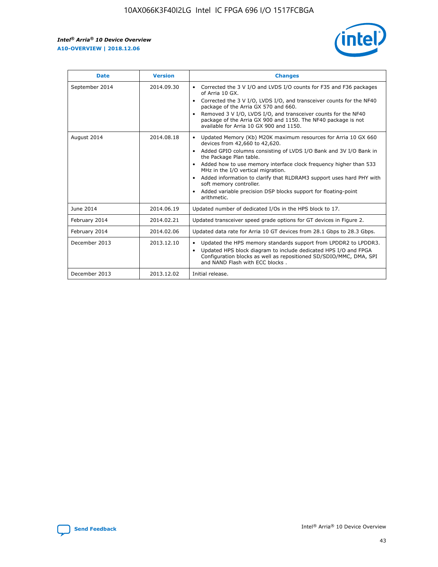r



| <b>Date</b>    | <b>Version</b> | <b>Changes</b>                                                                                                                                                                                                                                                                                                                                                                                                                                                                                                                                      |
|----------------|----------------|-----------------------------------------------------------------------------------------------------------------------------------------------------------------------------------------------------------------------------------------------------------------------------------------------------------------------------------------------------------------------------------------------------------------------------------------------------------------------------------------------------------------------------------------------------|
| September 2014 | 2014.09.30     | Corrected the 3 V I/O and LVDS I/O counts for F35 and F36 packages<br>$\bullet$<br>of Arria 10 GX.<br>Corrected the 3 V I/O, LVDS I/O, and transceiver counts for the NF40<br>$\bullet$<br>package of the Arria GX 570 and 660.<br>Removed 3 V I/O, LVDS I/O, and transceiver counts for the NF40<br>package of the Arria GX 900 and 1150. The NF40 package is not<br>available for Arria 10 GX 900 and 1150.                                                                                                                                       |
| August 2014    | 2014.08.18     | Updated Memory (Kb) M20K maximum resources for Arria 10 GX 660<br>devices from 42,660 to 42,620.<br>Added GPIO columns consisting of LVDS I/O Bank and 3V I/O Bank in<br>$\bullet$<br>the Package Plan table.<br>Added how to use memory interface clock frequency higher than 533<br>$\bullet$<br>MHz in the I/O vertical migration.<br>Added information to clarify that RLDRAM3 support uses hard PHY with<br>$\bullet$<br>soft memory controller.<br>Added variable precision DSP blocks support for floating-point<br>$\bullet$<br>arithmetic. |
| June 2014      | 2014.06.19     | Updated number of dedicated I/Os in the HPS block to 17.                                                                                                                                                                                                                                                                                                                                                                                                                                                                                            |
| February 2014  | 2014.02.21     | Updated transceiver speed grade options for GT devices in Figure 2.                                                                                                                                                                                                                                                                                                                                                                                                                                                                                 |
| February 2014  | 2014.02.06     | Updated data rate for Arria 10 GT devices from 28.1 Gbps to 28.3 Gbps.                                                                                                                                                                                                                                                                                                                                                                                                                                                                              |
| December 2013  | 2013.12.10     | Updated the HPS memory standards support from LPDDR2 to LPDDR3.<br>Updated HPS block diagram to include dedicated HPS I/O and FPGA<br>$\bullet$<br>Configuration blocks as well as repositioned SD/SDIO/MMC, DMA, SPI<br>and NAND Flash with ECC blocks.                                                                                                                                                                                                                                                                                            |
| December 2013  | 2013.12.02     | Initial release.                                                                                                                                                                                                                                                                                                                                                                                                                                                                                                                                    |